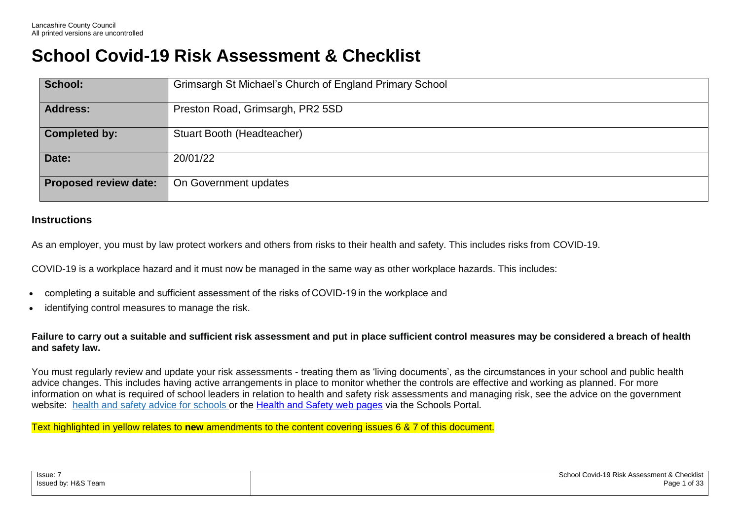# **School Covid-19 Risk Assessment & Checklist**

| School:                      | Grimsargh St Michael's Church of England Primary School |
|------------------------------|---------------------------------------------------------|
| <b>Address:</b>              | Preston Road, Grimsargh, PR2 5SD                        |
| <b>Completed by:</b>         | Stuart Booth (Headteacher)                              |
| Date:                        | 20/01/22                                                |
| <b>Proposed review date:</b> | On Government updates                                   |

#### **Instructions**

As an employer, you must by law protect workers and others from risks to their health and safety. This includes risks from COVID-19.

COVID-19 is a workplace hazard and it must now be managed in the same way as other workplace hazards. This includes:

- completing a suitable and sufficient assessment of the risks of COVID-19 in the workplace and
- identifying control measures to manage the risk.

**Failure to carry out a suitable and sufficient risk assessment and put in place sufficient control measures may be considered a breach of health and safety law.**

You must regularly review and update your risk assessments - treating them as 'living documents', as the circumstances in your school and public health advice changes. This includes having active arrangements in place to monitor whether the controls are effective and working as planned. For more information on what is required of school leaders in relation to health and safety risk assessments and managing risk, see the advice on the government website: health and safety advice for [schools](https://www.gov.uk/government/publications/health-and-safety-advice-for-schools/responsibilities-and-duties-for-schools) or the [Health](https://schoolsportal.lancsngfl.ac.uk/view_sp.asp?siteid=3726&pageid=16069&e=e) and Safety web pages via the Schools Portal.

Text highlighted in yellow relates to **new** amendments to the content covering issues 6 & 7 of this document.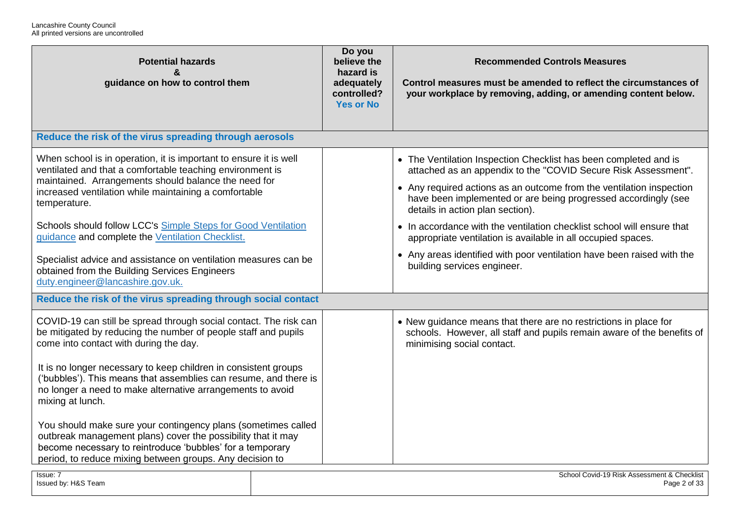| <b>Potential hazards</b><br>&<br>guidance on how to control them                                                                                                                                                                                       | Do you<br>believe the<br>hazard is<br>adequately<br>controlled?<br><b>Yes or No</b> | <b>Recommended Controls Measures</b><br>Control measures must be amended to reflect the circumstances of<br>your workplace by removing, adding, or amending content below.                                                                                                   |
|--------------------------------------------------------------------------------------------------------------------------------------------------------------------------------------------------------------------------------------------------------|-------------------------------------------------------------------------------------|------------------------------------------------------------------------------------------------------------------------------------------------------------------------------------------------------------------------------------------------------------------------------|
| Reduce the risk of the virus spreading through aerosols                                                                                                                                                                                                |                                                                                     |                                                                                                                                                                                                                                                                              |
| When school is in operation, it is important to ensure it is well<br>ventilated and that a comfortable teaching environment is<br>maintained. Arrangements should balance the need for<br>increased ventilation while maintaining a comfortable        |                                                                                     | • The Ventilation Inspection Checklist has been completed and is<br>attached as an appendix to the "COVID Secure Risk Assessment".<br>• Any required actions as an outcome from the ventilation inspection<br>have been implemented or are being progressed accordingly (see |
| temperature.                                                                                                                                                                                                                                           |                                                                                     | details in action plan section).                                                                                                                                                                                                                                             |
| Schools should follow LCC's Simple Steps for Good Ventilation<br>guidance and complete the Ventilation Checklist.                                                                                                                                      |                                                                                     | • In accordance with the ventilation checklist school will ensure that<br>appropriate ventilation is available in all occupied spaces.                                                                                                                                       |
| Specialist advice and assistance on ventilation measures can be<br>obtained from the Building Services Engineers<br>duty.engineer@lancashire.gov.uk.                                                                                                   |                                                                                     | • Any areas identified with poor ventilation have been raised with the<br>building services engineer.                                                                                                                                                                        |
| Reduce the risk of the virus spreading through social contact                                                                                                                                                                                          |                                                                                     |                                                                                                                                                                                                                                                                              |
| COVID-19 can still be spread through social contact. The risk can<br>be mitigated by reducing the number of people staff and pupils<br>come into contact with during the day.                                                                          |                                                                                     | • New guidance means that there are no restrictions in place for<br>schools. However, all staff and pupils remain aware of the benefits of<br>minimising social contact.                                                                                                     |
| It is no longer necessary to keep children in consistent groups<br>('bubbles'). This means that assemblies can resume, and there is<br>no longer a need to make alternative arrangements to avoid<br>mixing at lunch.                                  |                                                                                     |                                                                                                                                                                                                                                                                              |
| You should make sure your contingency plans (sometimes called<br>outbreak management plans) cover the possibility that it may<br>become necessary to reintroduce 'bubbles' for a temporary<br>period, to reduce mixing between groups. Any decision to |                                                                                     |                                                                                                                                                                                                                                                                              |
| Issue: 7<br>Issued by: H&S Team                                                                                                                                                                                                                        |                                                                                     | School Covid-19 Risk Assessment & Checklist<br>Page 2 of 33                                                                                                                                                                                                                  |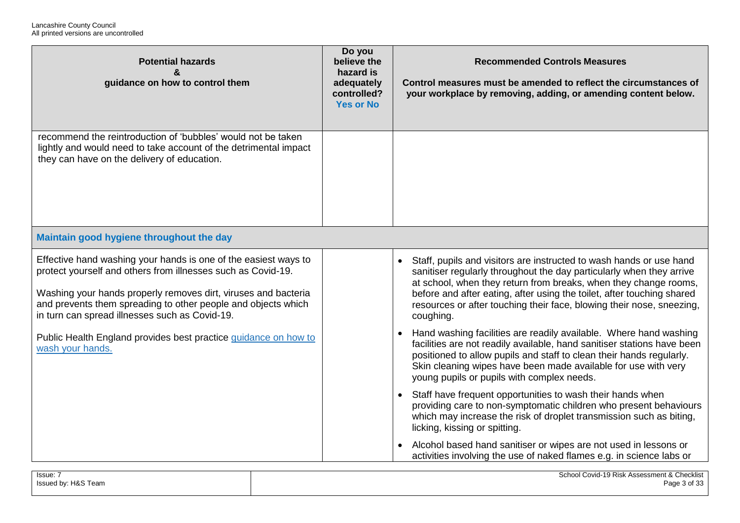| <b>Potential hazards</b><br>&<br>guidance on how to control them                                                                                                                                                                                                                                                                                                                                            | Do you<br>believe the<br>hazard is<br>adequately<br>controlled?<br><b>Yes or No</b> | <b>Recommended Controls Measures</b><br>Control measures must be amended to reflect the circumstances of<br>your workplace by removing, adding, or amending content below.                                                                                                                                                                                                                                                                                                                                                                   |
|-------------------------------------------------------------------------------------------------------------------------------------------------------------------------------------------------------------------------------------------------------------------------------------------------------------------------------------------------------------------------------------------------------------|-------------------------------------------------------------------------------------|----------------------------------------------------------------------------------------------------------------------------------------------------------------------------------------------------------------------------------------------------------------------------------------------------------------------------------------------------------------------------------------------------------------------------------------------------------------------------------------------------------------------------------------------|
| recommend the reintroduction of 'bubbles' would not be taken<br>lightly and would need to take account of the detrimental impact<br>they can have on the delivery of education.                                                                                                                                                                                                                             |                                                                                     |                                                                                                                                                                                                                                                                                                                                                                                                                                                                                                                                              |
| Maintain good hygiene throughout the day                                                                                                                                                                                                                                                                                                                                                                    |                                                                                     |                                                                                                                                                                                                                                                                                                                                                                                                                                                                                                                                              |
| Effective hand washing your hands is one of the easiest ways to<br>protect yourself and others from illnesses such as Covid-19.<br>Washing your hands properly removes dirt, viruses and bacteria<br>and prevents them spreading to other people and objects which<br>in turn can spread illnesses such as Covid-19.<br>Public Health England provides best practice guidance on how to<br>wash your hands. |                                                                                     | Staff, pupils and visitors are instructed to wash hands or use hand<br>$\bullet$<br>sanitiser regularly throughout the day particularly when they arrive<br>at school, when they return from breaks, when they change rooms,<br>before and after eating, after using the toilet, after touching shared<br>resources or after touching their face, blowing their nose, sneezing,<br>coughing.<br>Hand washing facilities are readily available. Where hand washing<br>facilities are not readily available, hand sanitiser stations have been |
|                                                                                                                                                                                                                                                                                                                                                                                                             |                                                                                     | positioned to allow pupils and staff to clean their hands regularly.<br>Skin cleaning wipes have been made available for use with very<br>young pupils or pupils with complex needs.                                                                                                                                                                                                                                                                                                                                                         |
|                                                                                                                                                                                                                                                                                                                                                                                                             |                                                                                     | Staff have frequent opportunities to wash their hands when<br>providing care to non-symptomatic children who present behaviours<br>which may increase the risk of droplet transmission such as biting,<br>licking, kissing or spitting.                                                                                                                                                                                                                                                                                                      |
|                                                                                                                                                                                                                                                                                                                                                                                                             |                                                                                     | Alcohol based hand sanitiser or wipes are not used in lessons or<br>activities involving the use of naked flames e.g. in science labs or                                                                                                                                                                                                                                                                                                                                                                                                     |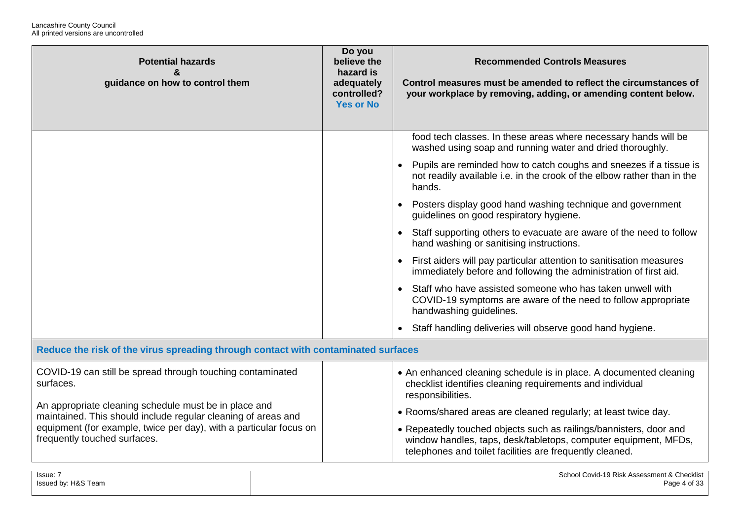Issued by: H&S Team

| <b>Potential hazards</b><br>$\mathbf{g}$<br>guidance on how to control them                                            | Do you<br>believe the<br>hazard is<br>adequately<br>controlled?<br><b>Yes or No</b> | <b>Recommended Controls Measures</b><br>Control measures must be amended to reflect the circumstances of<br>your workplace by removing, adding, or amending content below.                        |
|------------------------------------------------------------------------------------------------------------------------|-------------------------------------------------------------------------------------|---------------------------------------------------------------------------------------------------------------------------------------------------------------------------------------------------|
|                                                                                                                        |                                                                                     | food tech classes. In these areas where necessary hands will be<br>washed using soap and running water and dried thoroughly.                                                                      |
|                                                                                                                        |                                                                                     | Pupils are reminded how to catch coughs and sneezes if a tissue is<br>not readily available i.e. in the crook of the elbow rather than in the<br>hands.                                           |
|                                                                                                                        |                                                                                     | Posters display good hand washing technique and government<br>$\bullet$<br>guidelines on good respiratory hygiene.                                                                                |
|                                                                                                                        |                                                                                     | Staff supporting others to evacuate are aware of the need to follow<br>$\bullet$<br>hand washing or sanitising instructions.                                                                      |
|                                                                                                                        |                                                                                     | First aiders will pay particular attention to sanitisation measures<br>immediately before and following the administration of first aid.                                                          |
|                                                                                                                        |                                                                                     | Staff who have assisted someone who has taken unwell with<br>COVID-19 symptoms are aware of the need to follow appropriate<br>handwashing guidelines.                                             |
|                                                                                                                        |                                                                                     | Staff handling deliveries will observe good hand hygiene.<br>$\bullet$                                                                                                                            |
| Reduce the risk of the virus spreading through contact with contaminated surfaces                                      |                                                                                     |                                                                                                                                                                                                   |
| COVID-19 can still be spread through touching contaminated<br>surfaces.                                                |                                                                                     | • An enhanced cleaning schedule is in place. A documented cleaning<br>checklist identifies cleaning requirements and individual<br>responsibilities.                                              |
| An appropriate cleaning schedule must be in place and<br>maintained. This should include regular cleaning of areas and |                                                                                     | • Rooms/shared areas are cleaned regularly; at least twice day.                                                                                                                                   |
| equipment (for example, twice per day), with a particular focus on<br>frequently touched surfaces.                     |                                                                                     | • Repeatedly touched objects such as railings/bannisters, door and<br>window handles, taps, desk/tabletops, computer equipment, MFDs,<br>telephones and toilet facilities are frequently cleaned. |
| Issue: 7                                                                                                               |                                                                                     | School Covid-19 Risk Assessment & Checklist                                                                                                                                                       |

Page 4 of 33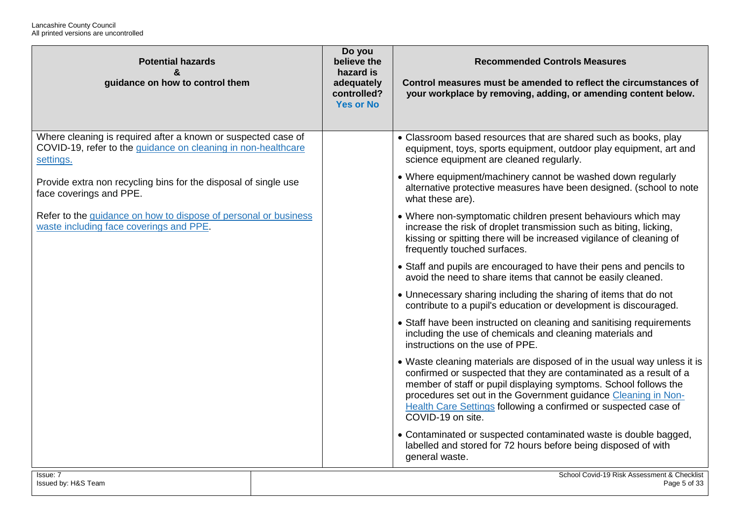| <b>Potential hazards</b><br>&<br>guidance on how to control them                                                                            | Do you<br>believe the<br>hazard is<br>adequately<br>controlled?<br><b>Yes or No</b> | <b>Recommended Controls Measures</b><br>Control measures must be amended to reflect the circumstances of<br>your workplace by removing, adding, or amending content below.                                                                                                                                                                                                   |
|---------------------------------------------------------------------------------------------------------------------------------------------|-------------------------------------------------------------------------------------|------------------------------------------------------------------------------------------------------------------------------------------------------------------------------------------------------------------------------------------------------------------------------------------------------------------------------------------------------------------------------|
| Where cleaning is required after a known or suspected case of<br>COVID-19, refer to the guidance on cleaning in non-healthcare<br>settings. |                                                                                     | • Classroom based resources that are shared such as books, play<br>equipment, toys, sports equipment, outdoor play equipment, art and<br>science equipment are cleaned regularly.                                                                                                                                                                                            |
| Provide extra non recycling bins for the disposal of single use<br>face coverings and PPE.                                                  |                                                                                     | • Where equipment/machinery cannot be washed down regularly<br>alternative protective measures have been designed. (school to note<br>what these are).                                                                                                                                                                                                                       |
| Refer to the guidance on how to dispose of personal or business<br>waste including face coverings and PPE.                                  |                                                                                     | • Where non-symptomatic children present behaviours which may<br>increase the risk of droplet transmission such as biting, licking,<br>kissing or spitting there will be increased vigilance of cleaning of<br>frequently touched surfaces.                                                                                                                                  |
|                                                                                                                                             |                                                                                     | • Staff and pupils are encouraged to have their pens and pencils to<br>avoid the need to share items that cannot be easily cleaned.                                                                                                                                                                                                                                          |
|                                                                                                                                             |                                                                                     | • Unnecessary sharing including the sharing of items that do not<br>contribute to a pupil's education or development is discouraged.                                                                                                                                                                                                                                         |
|                                                                                                                                             |                                                                                     | • Staff have been instructed on cleaning and sanitising requirements<br>including the use of chemicals and cleaning materials and<br>instructions on the use of PPE.                                                                                                                                                                                                         |
|                                                                                                                                             |                                                                                     | • Waste cleaning materials are disposed of in the usual way unless it is<br>confirmed or suspected that they are contaminated as a result of a<br>member of staff or pupil displaying symptoms. School follows the<br>procedures set out in the Government guidance Cleaning in Non-<br>Health Care Settings following a confirmed or suspected case of<br>COVID-19 on site. |
|                                                                                                                                             |                                                                                     | • Contaminated or suspected contaminated waste is double bagged,<br>labelled and stored for 72 hours before being disposed of with<br>general waste.                                                                                                                                                                                                                         |
| Issue: 7                                                                                                                                    |                                                                                     | School Covid-19 Risk Assessment & Checklist                                                                                                                                                                                                                                                                                                                                  |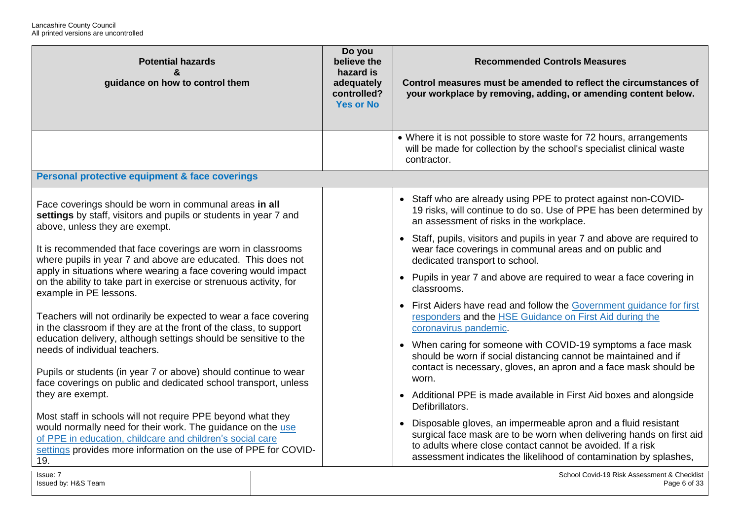| <b>Potential hazards</b><br>&<br>guidance on how to control them                                                                                                                                                                                                                                                                                                                                                                                                                                                                                                                                                                                                                                                                                                                                                                                                                                                                                                                                                                                                                                                                             | Do you<br>believe the<br>hazard is<br>adequately<br>controlled?<br><b>Yes or No</b> | <b>Recommended Controls Measures</b><br>Control measures must be amended to reflect the circumstances of<br>your workplace by removing, adding, or amending content below.                                                                                                                                                                                                                                                                                                                                                                                                                                                                                                                                                                                                                                                                                                                                                                                                                                                                                                                                                                                                                              |
|----------------------------------------------------------------------------------------------------------------------------------------------------------------------------------------------------------------------------------------------------------------------------------------------------------------------------------------------------------------------------------------------------------------------------------------------------------------------------------------------------------------------------------------------------------------------------------------------------------------------------------------------------------------------------------------------------------------------------------------------------------------------------------------------------------------------------------------------------------------------------------------------------------------------------------------------------------------------------------------------------------------------------------------------------------------------------------------------------------------------------------------------|-------------------------------------------------------------------------------------|---------------------------------------------------------------------------------------------------------------------------------------------------------------------------------------------------------------------------------------------------------------------------------------------------------------------------------------------------------------------------------------------------------------------------------------------------------------------------------------------------------------------------------------------------------------------------------------------------------------------------------------------------------------------------------------------------------------------------------------------------------------------------------------------------------------------------------------------------------------------------------------------------------------------------------------------------------------------------------------------------------------------------------------------------------------------------------------------------------------------------------------------------------------------------------------------------------|
|                                                                                                                                                                                                                                                                                                                                                                                                                                                                                                                                                                                                                                                                                                                                                                                                                                                                                                                                                                                                                                                                                                                                              |                                                                                     | • Where it is not possible to store waste for 72 hours, arrangements<br>will be made for collection by the school's specialist clinical waste<br>contractor.                                                                                                                                                                                                                                                                                                                                                                                                                                                                                                                                                                                                                                                                                                                                                                                                                                                                                                                                                                                                                                            |
| Personal protective equipment & face coverings                                                                                                                                                                                                                                                                                                                                                                                                                                                                                                                                                                                                                                                                                                                                                                                                                                                                                                                                                                                                                                                                                               |                                                                                     |                                                                                                                                                                                                                                                                                                                                                                                                                                                                                                                                                                                                                                                                                                                                                                                                                                                                                                                                                                                                                                                                                                                                                                                                         |
| Face coverings should be worn in communal areas in all<br>settings by staff, visitors and pupils or students in year 7 and<br>above, unless they are exempt.<br>It is recommended that face coverings are worn in classrooms<br>where pupils in year 7 and above are educated. This does not<br>apply in situations where wearing a face covering would impact<br>on the ability to take part in exercise or strenuous activity, for<br>example in PE lessons.<br>Teachers will not ordinarily be expected to wear a face covering<br>in the classroom if they are at the front of the class, to support<br>education delivery, although settings should be sensitive to the<br>needs of individual teachers.<br>Pupils or students (in year 7 or above) should continue to wear<br>face coverings on public and dedicated school transport, unless<br>they are exempt.<br>Most staff in schools will not require PPE beyond what they<br>would normally need for their work. The guidance on the use<br>of PPE in education, childcare and children's social care<br>settings provides more information on the use of PPE for COVID-<br>19. |                                                                                     | • Staff who are already using PPE to protect against non-COVID-<br>19 risks, will continue to do so. Use of PPE has been determined by<br>an assessment of risks in the workplace.<br>• Staff, pupils, visitors and pupils in year 7 and above are required to<br>wear face coverings in communal areas and on public and<br>dedicated transport to school.<br>• Pupils in year 7 and above are required to wear a face covering in<br>classrooms.<br>• First Aiders have read and follow the Government guidance for first<br>responders and the HSE Guidance on First Aid during the<br>coronavirus pandemic.<br>• When caring for someone with COVID-19 symptoms a face mask<br>should be worn if social distancing cannot be maintained and if<br>contact is necessary, gloves, an apron and a face mask should be<br>worn.<br>• Additional PPE is made available in First Aid boxes and alongside<br>Defibrillators.<br>• Disposable gloves, an impermeable apron and a fluid resistant<br>surgical face mask are to be worn when delivering hands on first aid<br>to adults where close contact cannot be avoided. If a risk<br>assessment indicates the likelihood of contamination by splashes, |
| Issue: 7<br>Issued by: H&S Team                                                                                                                                                                                                                                                                                                                                                                                                                                                                                                                                                                                                                                                                                                                                                                                                                                                                                                                                                                                                                                                                                                              |                                                                                     | School Covid-19 Risk Assessment & Checklist<br>Page 6 of 33                                                                                                                                                                                                                                                                                                                                                                                                                                                                                                                                                                                                                                                                                                                                                                                                                                                                                                                                                                                                                                                                                                                                             |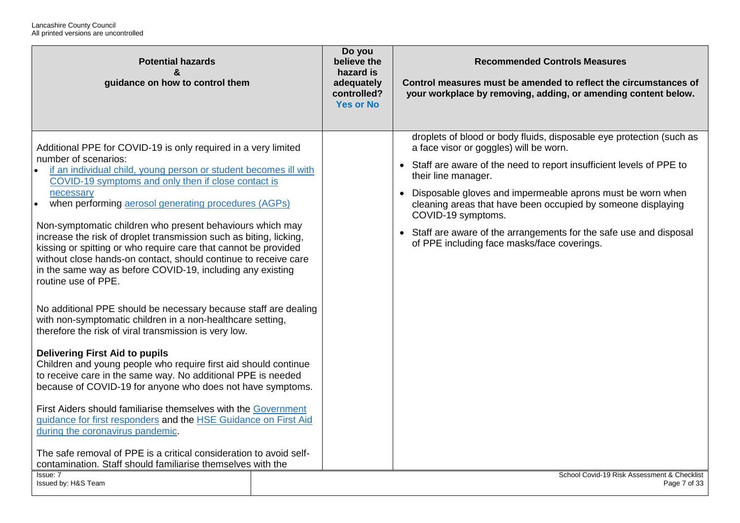| <b>Potential hazards</b><br>&<br>guidance on how to control them                                                                                                                                                                                                                                                                                                                                                                                                                                                                                                                                                                                                                                                                                                                                                                                                                                                                                                                                                                                                                                                                                                                                                                                                                                                                                                                                                    | Do you<br>believe the<br>hazard is<br>adequately<br>controlled?<br><b>Yes or No</b> | <b>Recommended Controls Measures</b><br>Control measures must be amended to reflect the circumstances of<br>your workplace by removing, adding, or amending content below.                                                                                                                                                                                                                                                                                                                 |
|---------------------------------------------------------------------------------------------------------------------------------------------------------------------------------------------------------------------------------------------------------------------------------------------------------------------------------------------------------------------------------------------------------------------------------------------------------------------------------------------------------------------------------------------------------------------------------------------------------------------------------------------------------------------------------------------------------------------------------------------------------------------------------------------------------------------------------------------------------------------------------------------------------------------------------------------------------------------------------------------------------------------------------------------------------------------------------------------------------------------------------------------------------------------------------------------------------------------------------------------------------------------------------------------------------------------------------------------------------------------------------------------------------------------|-------------------------------------------------------------------------------------|--------------------------------------------------------------------------------------------------------------------------------------------------------------------------------------------------------------------------------------------------------------------------------------------------------------------------------------------------------------------------------------------------------------------------------------------------------------------------------------------|
| Additional PPE for COVID-19 is only required in a very limited<br>number of scenarios:<br>if an individual child, young person or student becomes ill with<br>COVID-19 symptoms and only then if close contact is<br>necessary<br>when performing aerosol generating procedures (AGPs)<br>$\bullet$<br>Non-symptomatic children who present behaviours which may<br>increase the risk of droplet transmission such as biting, licking,<br>kissing or spitting or who require care that cannot be provided<br>without close hands-on contact, should continue to receive care<br>in the same way as before COVID-19, including any existing<br>routine use of PPE.<br>No additional PPE should be necessary because staff are dealing<br>with non-symptomatic children in a non-healthcare setting,<br>therefore the risk of viral transmission is very low.<br><b>Delivering First Aid to pupils</b><br>Children and young people who require first aid should continue<br>to receive care in the same way. No additional PPE is needed<br>because of COVID-19 for anyone who does not have symptoms.<br>First Aiders should familiarise themselves with the Government<br>guidance for first responders and the HSE Guidance on First Aid<br>during the coronavirus pandemic.<br>The safe removal of PPE is a critical consideration to avoid self-<br>contamination. Staff should familiarise themselves with the |                                                                                     | droplets of blood or body fluids, disposable eye protection (such as<br>a face visor or goggles) will be worn.<br>• Staff are aware of the need to report insufficient levels of PPE to<br>their line manager.<br>• Disposable gloves and impermeable aprons must be worn when<br>cleaning areas that have been occupied by someone displaying<br>COVID-19 symptoms.<br>• Staff are aware of the arrangements for the safe use and disposal<br>of PPE including face masks/face coverings. |
| Issue: 7<br>Issued by: H&S Team                                                                                                                                                                                                                                                                                                                                                                                                                                                                                                                                                                                                                                                                                                                                                                                                                                                                                                                                                                                                                                                                                                                                                                                                                                                                                                                                                                                     |                                                                                     | School Covid-19 Risk Assessment & Checklist<br>Page 7 of 33                                                                                                                                                                                                                                                                                                                                                                                                                                |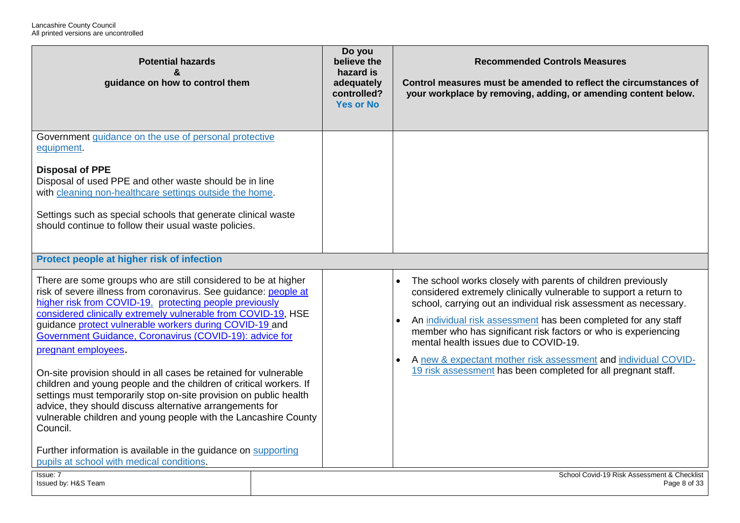| Government guidance on the use of personal protective<br>equipment.<br><b>Disposal of PPE</b><br>Disposal of used PPE and other waste should be in line<br>with cleaning non-healthcare settings outside the home.<br>Settings such as special schools that generate clinical waste<br>should continue to follow their usual waste policies.<br>Protect people at higher risk of infection<br>There are some groups who are still considered to be at higher<br>The school works closely with parents of children previously<br>risk of severe illness from coronavirus. See guidance: people at<br>considered extremely clinically vulnerable to support a return to<br>higher risk from COVID-19, protecting people previously<br>school, carrying out an individual risk assessment as necessary.<br>considered clinically extremely vulnerable from COVID-19, HSE<br>An individual risk assessment has been completed for any staff<br>guidance protect vulnerable workers during COVID-19 and<br>member who has significant risk factors or who is experiencing<br>Government Guidance, Coronavirus (COVID-19): advice for<br>mental health issues due to COVID-19.<br>pregnant employees.<br>A new & expectant mother risk assessment and individual COVID-<br>19 risk assessment has been completed for all pregnant staff.<br>On-site provision should in all cases be retained for vulnerable<br>children and young people and the children of critical workers. If<br>settings must temporarily stop on-site provision on public health<br>advice, they should discuss alternative arrangements for<br>vulnerable children and young people with the Lancashire County<br>Council.<br>Further information is available in the guidance on supporting<br>pupils at school with medical conditions.<br>School Covid-19 Risk Assessment & Checklist<br>Issue: 7 | <b>Potential hazards</b><br>&<br>guidance on how to control them | Do you<br>believe the<br>hazard is<br>adequately<br>controlled?<br><b>Yes or No</b> | <b>Recommended Controls Measures</b><br>Control measures must be amended to reflect the circumstances of<br>your workplace by removing, adding, or amending content below. |
|------------------------------------------------------------------------------------------------------------------------------------------------------------------------------------------------------------------------------------------------------------------------------------------------------------------------------------------------------------------------------------------------------------------------------------------------------------------------------------------------------------------------------------------------------------------------------------------------------------------------------------------------------------------------------------------------------------------------------------------------------------------------------------------------------------------------------------------------------------------------------------------------------------------------------------------------------------------------------------------------------------------------------------------------------------------------------------------------------------------------------------------------------------------------------------------------------------------------------------------------------------------------------------------------------------------------------------------------------------------------------------------------------------------------------------------------------------------------------------------------------------------------------------------------------------------------------------------------------------------------------------------------------------------------------------------------------------------------------------------------------------------------------------------------------------------------------------------------------------------------|------------------------------------------------------------------|-------------------------------------------------------------------------------------|----------------------------------------------------------------------------------------------------------------------------------------------------------------------------|
|                                                                                                                                                                                                                                                                                                                                                                                                                                                                                                                                                                                                                                                                                                                                                                                                                                                                                                                                                                                                                                                                                                                                                                                                                                                                                                                                                                                                                                                                                                                                                                                                                                                                                                                                                                                                                                                                        |                                                                  |                                                                                     |                                                                                                                                                                            |
|                                                                                                                                                                                                                                                                                                                                                                                                                                                                                                                                                                                                                                                                                                                                                                                                                                                                                                                                                                                                                                                                                                                                                                                                                                                                                                                                                                                                                                                                                                                                                                                                                                                                                                                                                                                                                                                                        |                                                                  |                                                                                     |                                                                                                                                                                            |
|                                                                                                                                                                                                                                                                                                                                                                                                                                                                                                                                                                                                                                                                                                                                                                                                                                                                                                                                                                                                                                                                                                                                                                                                                                                                                                                                                                                                                                                                                                                                                                                                                                                                                                                                                                                                                                                                        |                                                                  |                                                                                     |                                                                                                                                                                            |
|                                                                                                                                                                                                                                                                                                                                                                                                                                                                                                                                                                                                                                                                                                                                                                                                                                                                                                                                                                                                                                                                                                                                                                                                                                                                                                                                                                                                                                                                                                                                                                                                                                                                                                                                                                                                                                                                        | Issued by: H&S Team                                              |                                                                                     | Page 8 of 33                                                                                                                                                               |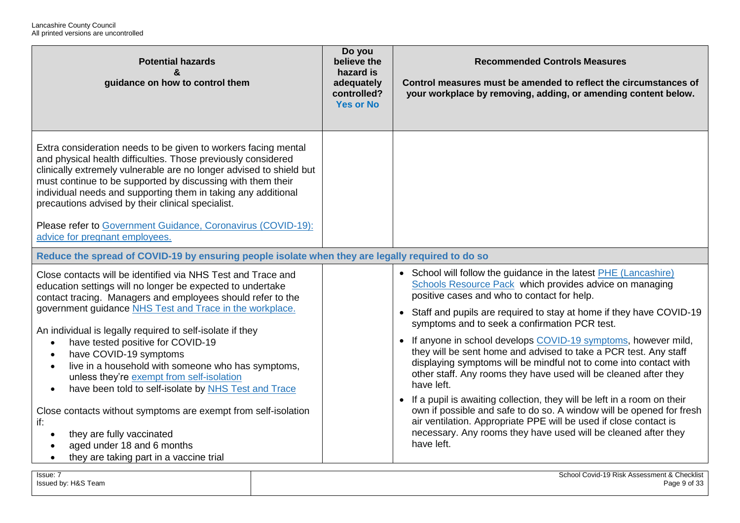| <b>Potential hazards</b><br>guidance on how to control them                                                                                                                                                                                                                                                                                                                                                                                                                                                                                                                                                                                                                                                                                                                                  | Do you<br>believe the<br>hazard is<br>adequately<br>controlled?<br><b>Yes or No</b> | <b>Recommended Controls Measures</b><br>Control measures must be amended to reflect the circumstances of<br>your workplace by removing, adding, or amending content below.                                                                                                                                                                                                                                                                                                                                                                                                                                                                                                                                                                                                                                                                                                                                   |
|----------------------------------------------------------------------------------------------------------------------------------------------------------------------------------------------------------------------------------------------------------------------------------------------------------------------------------------------------------------------------------------------------------------------------------------------------------------------------------------------------------------------------------------------------------------------------------------------------------------------------------------------------------------------------------------------------------------------------------------------------------------------------------------------|-------------------------------------------------------------------------------------|--------------------------------------------------------------------------------------------------------------------------------------------------------------------------------------------------------------------------------------------------------------------------------------------------------------------------------------------------------------------------------------------------------------------------------------------------------------------------------------------------------------------------------------------------------------------------------------------------------------------------------------------------------------------------------------------------------------------------------------------------------------------------------------------------------------------------------------------------------------------------------------------------------------|
| Extra consideration needs to be given to workers facing mental<br>and physical health difficulties. Those previously considered<br>clinically extremely vulnerable are no longer advised to shield but<br>must continue to be supported by discussing with them their<br>individual needs and supporting them in taking any additional<br>precautions advised by their clinical specialist.<br>Please refer to Government Guidance, Coronavirus (COVID-19):<br>advice for pregnant employees.                                                                                                                                                                                                                                                                                                |                                                                                     |                                                                                                                                                                                                                                                                                                                                                                                                                                                                                                                                                                                                                                                                                                                                                                                                                                                                                                              |
| Reduce the spread of COVID-19 by ensuring people isolate when they are legally required to do so                                                                                                                                                                                                                                                                                                                                                                                                                                                                                                                                                                                                                                                                                             |                                                                                     |                                                                                                                                                                                                                                                                                                                                                                                                                                                                                                                                                                                                                                                                                                                                                                                                                                                                                                              |
| Close contacts will be identified via NHS Test and Trace and<br>education settings will no longer be expected to undertake<br>contact tracing. Managers and employees should refer to the<br>government guidance NHS Test and Trace in the workplace.<br>An individual is legally required to self-isolate if they<br>have tested positive for COVID-19<br>$\bullet$<br>have COVID-19 symptoms<br>$\bullet$<br>live in a household with someone who has symptoms,<br>$\bullet$<br>unless they're exempt from self-isolation<br>have been told to self-isolate by NHS Test and Trace<br>$\bullet$<br>Close contacts without symptoms are exempt from self-isolation<br>if:<br>they are fully vaccinated<br>$\bullet$<br>aged under 18 and 6 months<br>they are taking part in a vaccine trial |                                                                                     | • School will follow the guidance in the latest PHE (Lancashire)<br>Schools Resource Pack which provides advice on managing<br>positive cases and who to contact for help.<br>• Staff and pupils are required to stay at home if they have COVID-19<br>symptoms and to seek a confirmation PCR test.<br>• If anyone in school develops COVID-19 symptoms, however mild,<br>they will be sent home and advised to take a PCR test. Any staff<br>displaying symptoms will be mindful not to come into contact with<br>other staff. Any rooms they have used will be cleaned after they<br>have left.<br>• If a pupil is awaiting collection, they will be left in a room on their<br>own if possible and safe to do so. A window will be opened for fresh<br>air ventilation. Appropriate PPE will be used if close contact is<br>necessary. Any rooms they have used will be cleaned after they<br>have left. |
| Issue: 7<br>Issued by: H&S Team                                                                                                                                                                                                                                                                                                                                                                                                                                                                                                                                                                                                                                                                                                                                                              |                                                                                     | School Covid-19 Risk Assessment & Checklist<br>Page 9 of 33                                                                                                                                                                                                                                                                                                                                                                                                                                                                                                                                                                                                                                                                                                                                                                                                                                                  |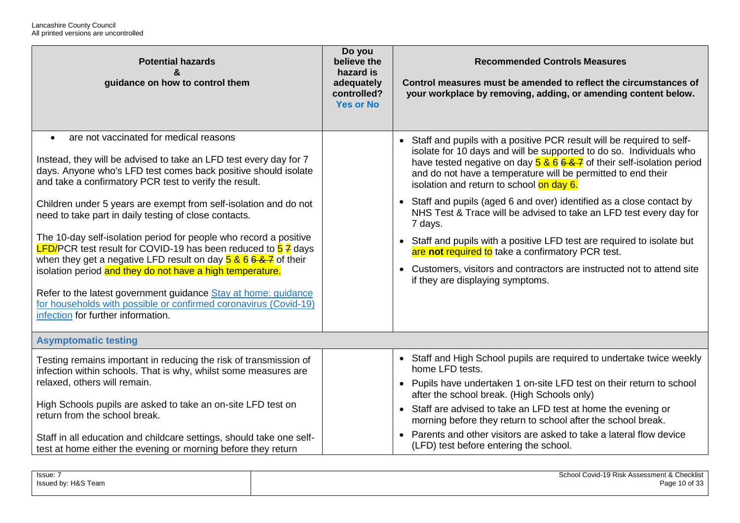| <b>Potential hazards</b><br>&<br>guidance on how to control them                                                                                                                                                                                                                                                                                                                                                                                                                                                                                                                                                                                                                                                                                                                                                                               | Do you<br>believe the<br>hazard is<br>adequately<br>controlled?<br><b>Yes or No</b> | <b>Recommended Controls Measures</b><br>Control measures must be amended to reflect the circumstances of<br>your workplace by removing, adding, or amending content below.                                                                                                                                                                                                                                                                                                                                                                                                                                                                                                                                                                        |
|------------------------------------------------------------------------------------------------------------------------------------------------------------------------------------------------------------------------------------------------------------------------------------------------------------------------------------------------------------------------------------------------------------------------------------------------------------------------------------------------------------------------------------------------------------------------------------------------------------------------------------------------------------------------------------------------------------------------------------------------------------------------------------------------------------------------------------------------|-------------------------------------------------------------------------------------|---------------------------------------------------------------------------------------------------------------------------------------------------------------------------------------------------------------------------------------------------------------------------------------------------------------------------------------------------------------------------------------------------------------------------------------------------------------------------------------------------------------------------------------------------------------------------------------------------------------------------------------------------------------------------------------------------------------------------------------------------|
| are not vaccinated for medical reasons<br>$\bullet$<br>Instead, they will be advised to take an LFD test every day for 7<br>days. Anyone who's LFD test comes back positive should isolate<br>and take a confirmatory PCR test to verify the result.<br>Children under 5 years are exempt from self-isolation and do not<br>need to take part in daily testing of close contacts.<br>The 10-day self-isolation period for people who record a positive<br><b>LFD/PCR</b> test result for COVID-19 has been reduced to 5 7 days<br>when they get a negative LFD result on day $5 & 6 & 6 & 7$ of their<br>isolation period and they do not have a high temperature.<br>Refer to the latest government guidance Stay at home: guidance<br>for households with possible or confirmed coronavirus (Covid-19)<br>infection for further information. |                                                                                     | • Staff and pupils with a positive PCR result will be required to self-<br>isolate for 10 days and will be supported to do so. Individuals who<br>have tested negative on day $5 & 6 & 6 & 7$ of their self-isolation period<br>and do not have a temperature will be permitted to end their<br>isolation and return to school on day 6.<br>• Staff and pupils (aged 6 and over) identified as a close contact by<br>NHS Test & Trace will be advised to take an LFD test every day for<br>7 days.<br>• Staff and pupils with a positive LFD test are required to isolate but<br>are not required to take a confirmatory PCR test.<br>• Customers, visitors and contractors are instructed not to attend site<br>if they are displaying symptoms. |
| <b>Asymptomatic testing</b>                                                                                                                                                                                                                                                                                                                                                                                                                                                                                                                                                                                                                                                                                                                                                                                                                    |                                                                                     |                                                                                                                                                                                                                                                                                                                                                                                                                                                                                                                                                                                                                                                                                                                                                   |
| Testing remains important in reducing the risk of transmission of<br>infection within schools. That is why, whilst some measures are<br>relaxed, others will remain.<br>High Schools pupils are asked to take an on-site LFD test on<br>return from the school break.<br>Staff in all education and childcare settings, should take one self-<br>test at home either the evening or morning before they return                                                                                                                                                                                                                                                                                                                                                                                                                                 |                                                                                     | • Staff and High School pupils are required to undertake twice weekly<br>home LFD tests.<br>• Pupils have undertaken 1 on-site LFD test on their return to school<br>after the school break. (High Schools only)<br>• Staff are advised to take an LFD test at home the evening or<br>morning before they return to school after the school break.<br>• Parents and other visitors are asked to take a lateral flow device<br>(LFD) test before entering the school.                                                                                                                                                                                                                                                                              |

| Issue: 7            | School Covid-19 Risk Assessment & Checklist |
|---------------------|---------------------------------------------|
|                     |                                             |
| Issued by: H&S Team | Page 10 of 33                               |
|                     |                                             |
|                     |                                             |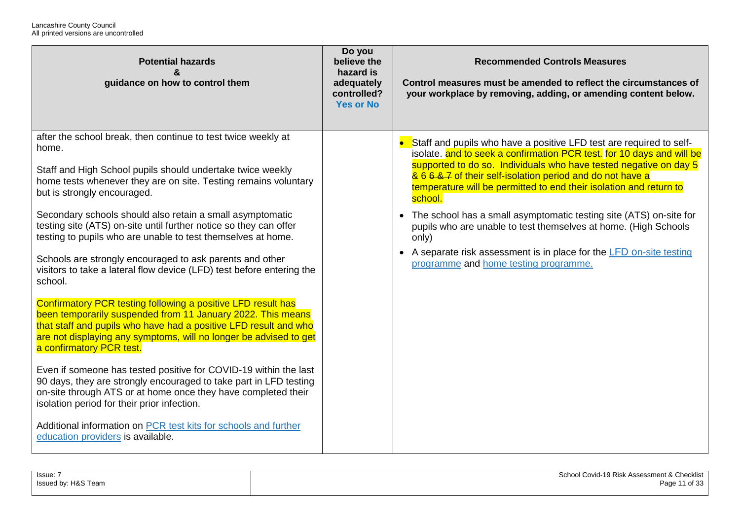| <b>Potential hazards</b><br>&<br>guidance on how to control them                                                                                                                                                                                                                                                                                                                                                                                                                                                                                                                                                                                                  | Do you<br>believe the<br>hazard is<br>adequately<br>controlled?<br><b>Yes or No</b> | <b>Recommended Controls Measures</b><br>Control measures must be amended to reflect the circumstances of<br>your workplace by removing, adding, or amending content below.                                                                                                                                                                                                                                                                                                                                                                                                                                                            |
|-------------------------------------------------------------------------------------------------------------------------------------------------------------------------------------------------------------------------------------------------------------------------------------------------------------------------------------------------------------------------------------------------------------------------------------------------------------------------------------------------------------------------------------------------------------------------------------------------------------------------------------------------------------------|-------------------------------------------------------------------------------------|---------------------------------------------------------------------------------------------------------------------------------------------------------------------------------------------------------------------------------------------------------------------------------------------------------------------------------------------------------------------------------------------------------------------------------------------------------------------------------------------------------------------------------------------------------------------------------------------------------------------------------------|
| after the school break, then continue to test twice weekly at<br>home.<br>Staff and High School pupils should undertake twice weekly<br>home tests whenever they are on site. Testing remains voluntary<br>but is strongly encouraged.<br>Secondary schools should also retain a small asymptomatic<br>testing site (ATS) on-site until further notice so they can offer<br>testing to pupils who are unable to test themselves at home.<br>Schools are strongly encouraged to ask parents and other<br>visitors to take a lateral flow device (LFD) test before entering the<br>school.                                                                          |                                                                                     | Staff and pupils who have a positive LFD test are required to self-<br>isolate. and to seek a confirmation PCR test. for 10 days and will be<br>supported to do so. Individuals who have tested negative on day 5<br>& 6 6 & 7 of their self-isolation period and do not have a<br>temperature will be permitted to end their isolation and return to<br>school.<br>• The school has a small asymptomatic testing site (ATS) on-site for<br>pupils who are unable to test themselves at home. (High Schools<br>only)<br>• A separate risk assessment is in place for the LFD on-site testing<br>programme and home testing programme. |
| Confirmatory PCR testing following a positive LFD result has<br>been temporarily suspended from 11 January 2022. This means<br>that staff and pupils who have had a positive LFD result and who<br>are not displaying any symptoms, will no longer be advised to get<br>a confirmatory PCR test.<br>Even if someone has tested positive for COVID-19 within the last<br>90 days, they are strongly encouraged to take part in LFD testing<br>on-site through ATS or at home once they have completed their<br>isolation period for their prior infection.<br>Additional information on PCR test kits for schools and further<br>education providers is available. |                                                                                     |                                                                                                                                                                                                                                                                                                                                                                                                                                                                                                                                                                                                                                       |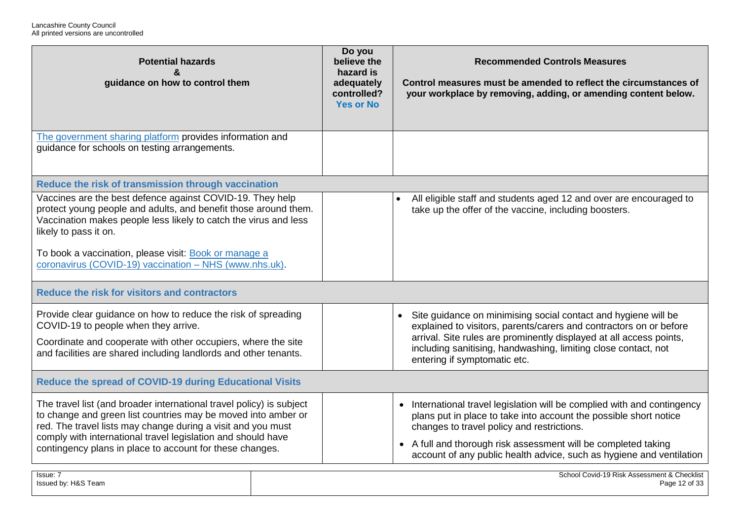| <b>Potential hazards</b><br>&<br>guidance on how to control them                                                                                                                                                                                                                                                                                    | Do you<br>believe the<br>hazard is<br>adequately<br>controlled?<br><b>Yes or No</b> | <b>Recommended Controls Measures</b><br>Control measures must be amended to reflect the circumstances of<br>your workplace by removing, adding, or amending content below.                                                                                                                                    |
|-----------------------------------------------------------------------------------------------------------------------------------------------------------------------------------------------------------------------------------------------------------------------------------------------------------------------------------------------------|-------------------------------------------------------------------------------------|---------------------------------------------------------------------------------------------------------------------------------------------------------------------------------------------------------------------------------------------------------------------------------------------------------------|
| The government sharing platform provides information and<br>guidance for schools on testing arrangements.                                                                                                                                                                                                                                           |                                                                                     |                                                                                                                                                                                                                                                                                                               |
| Reduce the risk of transmission through vaccination                                                                                                                                                                                                                                                                                                 |                                                                                     |                                                                                                                                                                                                                                                                                                               |
| Vaccines are the best defence against COVID-19. They help<br>protect young people and adults, and benefit those around them.<br>Vaccination makes people less likely to catch the virus and less<br>likely to pass it on.<br>To book a vaccination, please visit: <b>Book or manage a</b><br>coronavirus (COVID-19) vaccination - NHS (www.nhs.uk). |                                                                                     | All eligible staff and students aged 12 and over are encouraged to<br>take up the offer of the vaccine, including boosters.                                                                                                                                                                                   |
| Reduce the risk for visitors and contractors                                                                                                                                                                                                                                                                                                        |                                                                                     |                                                                                                                                                                                                                                                                                                               |
| Provide clear guidance on how to reduce the risk of spreading<br>COVID-19 to people when they arrive.<br>Coordinate and cooperate with other occupiers, where the site<br>and facilities are shared including landlords and other tenants.                                                                                                          |                                                                                     | Site guidance on minimising social contact and hygiene will be<br>explained to visitors, parents/carers and contractors on or before<br>arrival. Site rules are prominently displayed at all access points,<br>including sanitising, handwashing, limiting close contact, not<br>entering if symptomatic etc. |
| <b>Reduce the spread of COVID-19 during Educational Visits</b>                                                                                                                                                                                                                                                                                      |                                                                                     |                                                                                                                                                                                                                                                                                                               |
| The travel list (and broader international travel policy) is subject<br>to change and green list countries may be moved into amber or<br>red. The travel lists may change during a visit and you must<br>comply with international travel legislation and should have                                                                               |                                                                                     | • International travel legislation will be complied with and contingency<br>plans put in place to take into account the possible short notice<br>changes to travel policy and restrictions.<br>A full and thorough risk assessment will be completed taking<br>$\bullet$                                      |
| contingency plans in place to account for these changes.                                                                                                                                                                                                                                                                                            |                                                                                     | account of any public health advice, such as hygiene and ventilation                                                                                                                                                                                                                                          |
| Issue: 7<br>Issued by: H&S Team                                                                                                                                                                                                                                                                                                                     |                                                                                     | School Covid-19 Risk Assessment & Checklist<br>Page 12 of 33                                                                                                                                                                                                                                                  |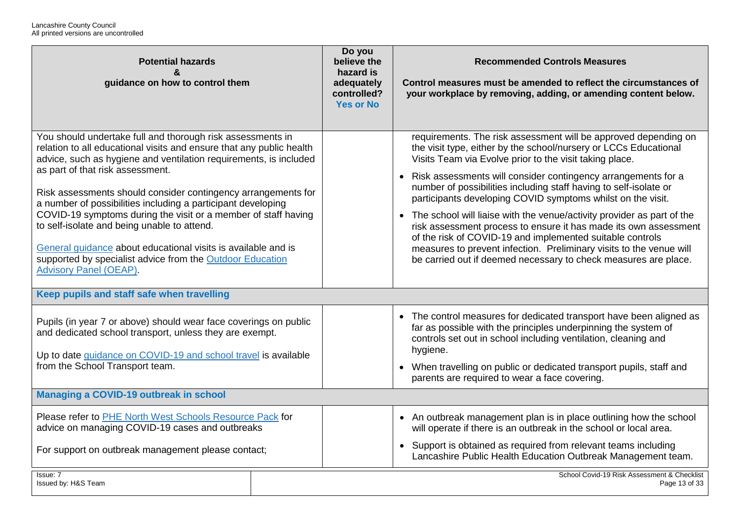| <b>Potential hazards</b><br>&<br>guidance on how to control them                                                                                                                                                                                                                                                                                                                                                                                                                                                                                                                                                                                             | Do you<br>believe the<br>hazard is<br>adequately<br>controlled?<br><b>Yes or No</b> | <b>Recommended Controls Measures</b><br>Control measures must be amended to reflect the circumstances of<br>your workplace by removing, adding, or amending content below.                                                                                                                                                                                                                                                                                                                                                                                                                                                                                                                                                                                 |
|--------------------------------------------------------------------------------------------------------------------------------------------------------------------------------------------------------------------------------------------------------------------------------------------------------------------------------------------------------------------------------------------------------------------------------------------------------------------------------------------------------------------------------------------------------------------------------------------------------------------------------------------------------------|-------------------------------------------------------------------------------------|------------------------------------------------------------------------------------------------------------------------------------------------------------------------------------------------------------------------------------------------------------------------------------------------------------------------------------------------------------------------------------------------------------------------------------------------------------------------------------------------------------------------------------------------------------------------------------------------------------------------------------------------------------------------------------------------------------------------------------------------------------|
| You should undertake full and thorough risk assessments in<br>relation to all educational visits and ensure that any public health<br>advice, such as hygiene and ventilation requirements, is included<br>as part of that risk assessment.<br>Risk assessments should consider contingency arrangements for<br>a number of possibilities including a participant developing<br>COVID-19 symptoms during the visit or a member of staff having<br>to self-isolate and being unable to attend.<br>General guidance about educational visits is available and is<br>supported by specialist advice from the Outdoor Education<br><b>Advisory Panel (OEAP).</b> |                                                                                     | requirements. The risk assessment will be approved depending on<br>the visit type, either by the school/nursery or LCCs Educational<br>Visits Team via Evolve prior to the visit taking place.<br>Risk assessments will consider contingency arrangements for a<br>number of possibilities including staff having to self-isolate or<br>participants developing COVID symptoms whilst on the visit.<br>• The school will liaise with the venue/activity provider as part of the<br>risk assessment process to ensure it has made its own assessment<br>of the risk of COVID-19 and implemented suitable controls<br>measures to prevent infection. Preliminary visits to the venue will<br>be carried out if deemed necessary to check measures are place. |
| Keep pupils and staff safe when travelling                                                                                                                                                                                                                                                                                                                                                                                                                                                                                                                                                                                                                   |                                                                                     |                                                                                                                                                                                                                                                                                                                                                                                                                                                                                                                                                                                                                                                                                                                                                            |
| Pupils (in year 7 or above) should wear face coverings on public<br>and dedicated school transport, unless they are exempt.<br>Up to date guidance on COVID-19 and school travel is available<br>from the School Transport team.                                                                                                                                                                                                                                                                                                                                                                                                                             |                                                                                     | • The control measures for dedicated transport have been aligned as<br>far as possible with the principles underpinning the system of<br>controls set out in school including ventilation, cleaning and<br>hygiene.<br>• When travelling on public or dedicated transport pupils, staff and<br>parents are required to wear a face covering.                                                                                                                                                                                                                                                                                                                                                                                                               |
| Managing a COVID-19 outbreak in school                                                                                                                                                                                                                                                                                                                                                                                                                                                                                                                                                                                                                       |                                                                                     |                                                                                                                                                                                                                                                                                                                                                                                                                                                                                                                                                                                                                                                                                                                                                            |
| Please refer to PHE North West Schools Resource Pack for<br>advice on managing COVID-19 cases and outbreaks                                                                                                                                                                                                                                                                                                                                                                                                                                                                                                                                                  |                                                                                     | • An outbreak management plan is in place outlining how the school<br>will operate if there is an outbreak in the school or local area.                                                                                                                                                                                                                                                                                                                                                                                                                                                                                                                                                                                                                    |
| For support on outbreak management please contact;                                                                                                                                                                                                                                                                                                                                                                                                                                                                                                                                                                                                           |                                                                                     | • Support is obtained as required from relevant teams including<br>Lancashire Public Health Education Outbreak Management team.                                                                                                                                                                                                                                                                                                                                                                                                                                                                                                                                                                                                                            |
| Issue: 7<br>Issued by: H&S Team                                                                                                                                                                                                                                                                                                                                                                                                                                                                                                                                                                                                                              |                                                                                     | School Covid-19 Risk Assessment & Checklist                                                                                                                                                                                                                                                                                                                                                                                                                                                                                                                                                                                                                                                                                                                |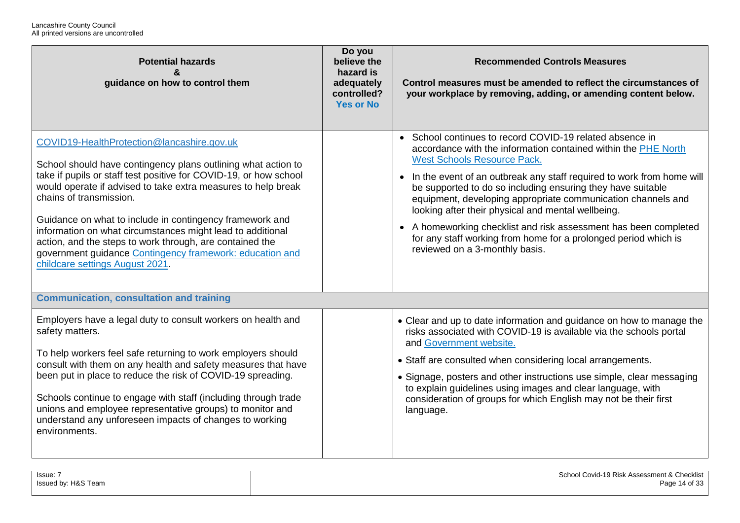| <b>Potential hazards</b><br>$\boldsymbol{\mathsf{R}}$<br>guidance on how to control them                                                                                                                                                                                                                                                                                                                                                                                                                                                                          | Do you<br>believe the<br>hazard is<br>adequately<br>controlled?<br><b>Yes or No</b> | <b>Recommended Controls Measures</b><br>Control measures must be amended to reflect the circumstances of<br>your workplace by removing, adding, or amending content below.                                                                                                                                                                                                                                                                                                                                                                                                                                |
|-------------------------------------------------------------------------------------------------------------------------------------------------------------------------------------------------------------------------------------------------------------------------------------------------------------------------------------------------------------------------------------------------------------------------------------------------------------------------------------------------------------------------------------------------------------------|-------------------------------------------------------------------------------------|-----------------------------------------------------------------------------------------------------------------------------------------------------------------------------------------------------------------------------------------------------------------------------------------------------------------------------------------------------------------------------------------------------------------------------------------------------------------------------------------------------------------------------------------------------------------------------------------------------------|
| COVID19-HealthProtection@lancashire.gov.uk<br>School should have contingency plans outlining what action to<br>take if pupils or staff test positive for COVID-19, or how school<br>would operate if advised to take extra measures to help break<br>chains of transmission.<br>Guidance on what to include in contingency framework and<br>information on what circumstances might lead to additional<br>action, and the steps to work through, are contained the<br>government guidance Contingency framework: education and<br>childcare settings August 2021. |                                                                                     | • School continues to record COVID-19 related absence in<br>accordance with the information contained within the PHE North<br><b>West Schools Resource Pack.</b><br>• In the event of an outbreak any staff required to work from home will<br>be supported to do so including ensuring they have suitable<br>equipment, developing appropriate communication channels and<br>looking after their physical and mental wellbeing.<br>• A homeworking checklist and risk assessment has been completed<br>for any staff working from home for a prolonged period which is<br>reviewed on a 3-monthly basis. |
| <b>Communication, consultation and training</b>                                                                                                                                                                                                                                                                                                                                                                                                                                                                                                                   |                                                                                     |                                                                                                                                                                                                                                                                                                                                                                                                                                                                                                                                                                                                           |
| Employers have a legal duty to consult workers on health and<br>safety matters.<br>To help workers feel safe returning to work employers should<br>consult with them on any health and safety measures that have<br>been put in place to reduce the risk of COVID-19 spreading.<br>Schools continue to engage with staff (including through trade<br>unions and employee representative groups) to monitor and<br>understand any unforeseen impacts of changes to working<br>environments.                                                                        |                                                                                     | • Clear and up to date information and guidance on how to manage the<br>risks associated with COVID-19 is available via the schools portal<br>and Government website.<br>• Staff are consulted when considering local arrangements.<br>• Signage, posters and other instructions use simple, clear messaging<br>to explain guidelines using images and clear language, with<br>consideration of groups for which English may not be their first<br>language.                                                                                                                                              |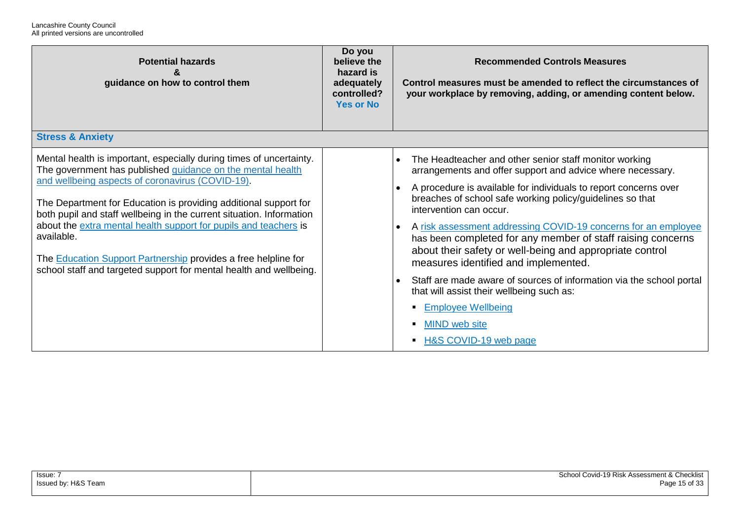| <b>Potential hazards</b><br>guidance on how to control them                                                                                                                                                                                                                                                                                                                                                                                                                                                                                                 | Do you<br>believe the<br>hazard is<br>adequately<br>controlled?<br><b>Yes or No</b> | <b>Recommended Controls Measures</b><br>Control measures must be amended to reflect the circumstances of<br>your workplace by removing, adding, or amending content below.                                                                                                                                                                                                                                                                                                                                                                                                                                                                                                                                                                                      |
|-------------------------------------------------------------------------------------------------------------------------------------------------------------------------------------------------------------------------------------------------------------------------------------------------------------------------------------------------------------------------------------------------------------------------------------------------------------------------------------------------------------------------------------------------------------|-------------------------------------------------------------------------------------|-----------------------------------------------------------------------------------------------------------------------------------------------------------------------------------------------------------------------------------------------------------------------------------------------------------------------------------------------------------------------------------------------------------------------------------------------------------------------------------------------------------------------------------------------------------------------------------------------------------------------------------------------------------------------------------------------------------------------------------------------------------------|
| <b>Stress &amp; Anxiety</b>                                                                                                                                                                                                                                                                                                                                                                                                                                                                                                                                 |                                                                                     |                                                                                                                                                                                                                                                                                                                                                                                                                                                                                                                                                                                                                                                                                                                                                                 |
| Mental health is important, especially during times of uncertainty.<br>The government has published guidance on the mental health<br>and wellbeing aspects of coronavirus (COVID-19).<br>The Department for Education is providing additional support for<br>both pupil and staff wellbeing in the current situation. Information<br>about the extra mental health support for pupils and teachers is<br>available.<br>The Education Support Partnership provides a free helpline for<br>school staff and targeted support for mental health and wellbeing. |                                                                                     | The Headteacher and other senior staff monitor working<br>$\bullet$<br>arrangements and offer support and advice where necessary.<br>A procedure is available for individuals to report concerns over<br>$\bullet$<br>breaches of school safe working policy/guidelines so that<br>intervention can occur.<br>A risk assessment addressing COVID-19 concerns for an employee<br>$\bullet$<br>has been completed for any member of staff raising concerns<br>about their safety or well-being and appropriate control<br>measures identified and implemented.<br>Staff are made aware of sources of information via the school portal<br>that will assist their wellbeing such as:<br><b>Employee Wellbeing</b><br><b>MIND</b> web site<br>H&S COVID-19 web page |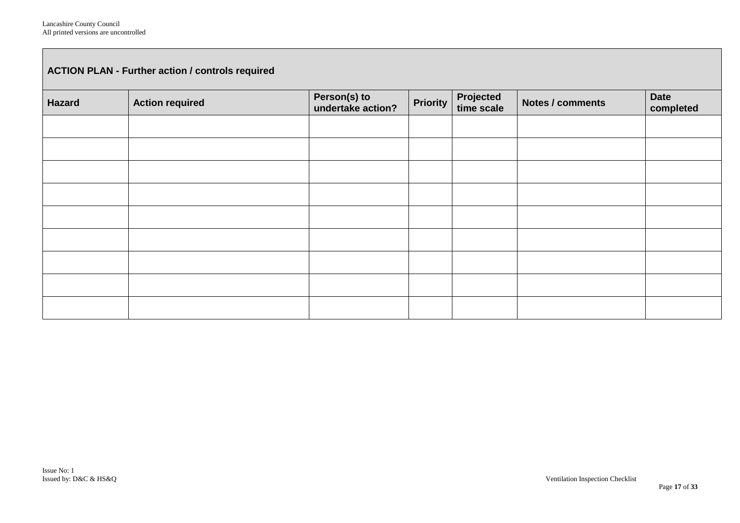## **ACTION PLAN - Further action / controls required**

| <b>Hazard</b> | <b>Action required</b> | Person(s) to<br>undertake action? | <b>Priority</b> | Projected<br>time scale | <b>Notes / comments</b> | <b>Date</b><br>completed |
|---------------|------------------------|-----------------------------------|-----------------|-------------------------|-------------------------|--------------------------|
|               |                        |                                   |                 |                         |                         |                          |
|               |                        |                                   |                 |                         |                         |                          |
|               |                        |                                   |                 |                         |                         |                          |
|               |                        |                                   |                 |                         |                         |                          |
|               |                        |                                   |                 |                         |                         |                          |
|               |                        |                                   |                 |                         |                         |                          |
|               |                        |                                   |                 |                         |                         |                          |
|               |                        |                                   |                 |                         |                         |                          |
|               |                        |                                   |                 |                         |                         |                          |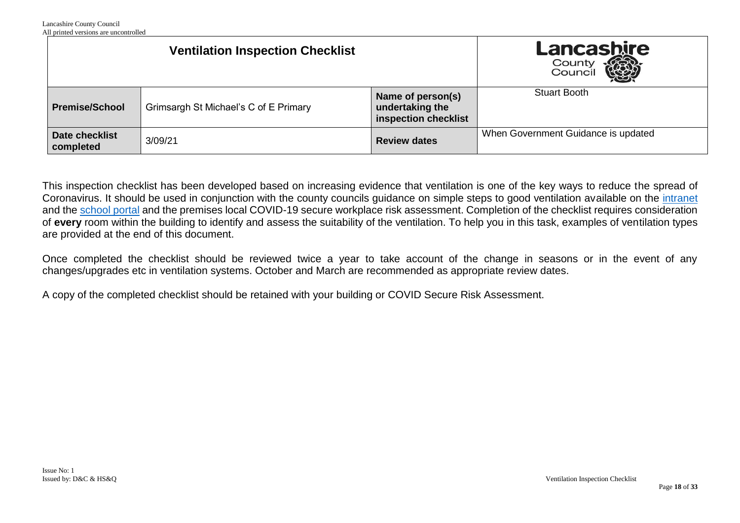| <b>Ventilation Inspection Checklist</b> |                                       |                                                              | <b>Lancashire</b><br>Council        |
|-----------------------------------------|---------------------------------------|--------------------------------------------------------------|-------------------------------------|
| <b>Premise/School</b>                   | Grimsargh St Michael's C of E Primary | Name of person(s)<br>undertaking the<br>inspection checklist | <b>Stuart Booth</b>                 |
| Date checklist<br>completed             | 3/09/21                               | <b>Review dates</b>                                          | When Government Guidance is updated |

This inspection checklist has been developed based on increasing evidence that ventilation is one of the key ways to reduce the spread of Coronavirus. It should be used in conjunction with the county councils guidance on simple steps to good ventilation available on the [intranet](https://clickweb.lancashire.gov.uk/viewdoc.asp?id=144414) and the [school portal](https://schoolsportal.lancsngfl.ac.uk/modules/clicksuite/clickweb/media/doc.asp?id=144414) and the premises local COVID-19 secure workplace risk assessment. Completion of the checklist requires consideration of **every** room within the building to identify and assess the suitability of the ventilation. To help you in this task, examples of ventilation types are provided at the end of this document.

Once completed the checklist should be reviewed twice a year to take account of the change in seasons or in the event of any changes/upgrades etc in ventilation systems. October and March are recommended as appropriate review dates.

A copy of the completed checklist should be retained with your building or COVID Secure Risk Assessment.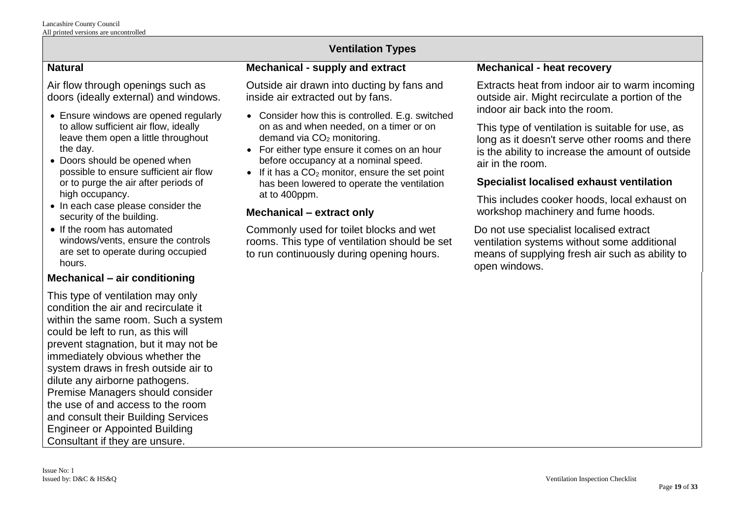## **Ventilation Types**

#### **Natural**

Air flow through openings such as doors (ideally external) and windows.

- Ensure windows are opened regularly to allow sufficient air flow, ideally leave them open a little throughout the day.
- Doors should be opened when possible to ensure sufficient air flow or to purge the air after periods of high occupancy.
- In each case please consider the security of the building.
- If the room has automated windows/vents, ensure the controls are set to operate during occupied hours.

### **Mechanical – air conditioning**

This type of ventilation may only condition the air and recirculate it within the same room. Such a system could be left to run, as this will prevent stagnation, but it may not be immediately obvious whether the system draws in fresh outside air to dilute any airborne pathogens. Premise Managers should consider the use of and access to the room and consult their Building Services Engineer or Appointed Building Consultant if they are unsure.

**Mechanical - supply and extract** 

Outside air drawn into ducting by fans and inside air extracted out by fans.

- Consider how this is controlled. E.g. switched on as and when needed, on a timer or on demand via CO<sub>2</sub> monitoring.
- For either type ensure it comes on an hour before occupancy at a nominal speed.
- $\bullet$  If it has a CO<sub>2</sub> monitor, ensure the set point has been lowered to operate the ventilation at to 400ppm.

## **Mechanical – extract only**

Commonly used for toilet blocks and wet rooms. This type of ventilation should be set to run continuously during opening hours.

### **Mechanical - heat recovery**

Extracts heat from indoor air to warm incoming outside air. Might recirculate a portion of the indoor air back into the room.

This type of ventilation is suitable for use, as long as it doesn't serve other rooms and there is the ability to increase the amount of outside air in the room.

## **Specialist localised exhaust ventilation**

This includes cooker hoods, local exhaust on workshop machinery and fume hoods.

Do not use specialist localised extract ventilation systems without some additional means of supplying fresh air such as ability to open windows.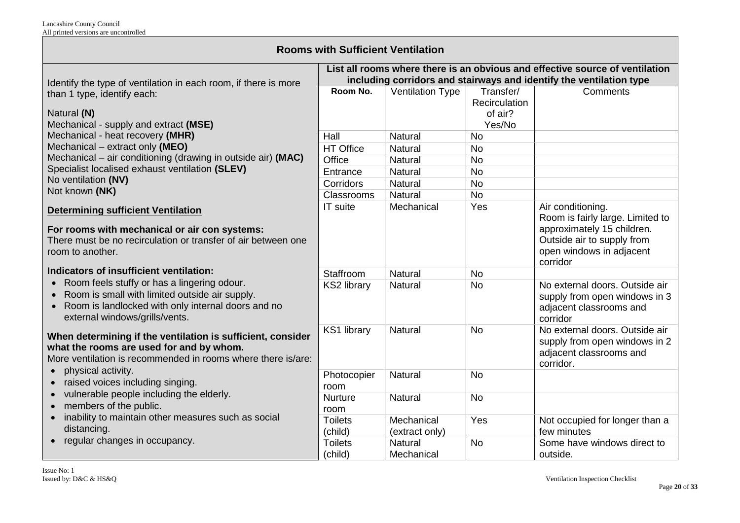## **Rooms with Sufficient Ventilation**

|                                                                                                                                                                                                                                                                                                                                                                                                                                                                                                                                                                                                                                         | List all rooms where there is an obvious and effective source of ventilation |                              |                      |                                                                                                                                                           |  |  |
|-----------------------------------------------------------------------------------------------------------------------------------------------------------------------------------------------------------------------------------------------------------------------------------------------------------------------------------------------------------------------------------------------------------------------------------------------------------------------------------------------------------------------------------------------------------------------------------------------------------------------------------------|------------------------------------------------------------------------------|------------------------------|----------------------|-----------------------------------------------------------------------------------------------------------------------------------------------------------|--|--|
| Identify the type of ventilation in each room, if there is more                                                                                                                                                                                                                                                                                                                                                                                                                                                                                                                                                                         | including corridors and stairways and identify the ventilation type          |                              |                      |                                                                                                                                                           |  |  |
| than 1 type, identify each:                                                                                                                                                                                                                                                                                                                                                                                                                                                                                                                                                                                                             | Room No.                                                                     | <b>Ventilation Type</b>      | Transfer/            | Comments                                                                                                                                                  |  |  |
|                                                                                                                                                                                                                                                                                                                                                                                                                                                                                                                                                                                                                                         |                                                                              |                              | <b>Recirculation</b> |                                                                                                                                                           |  |  |
| Natural (N)                                                                                                                                                                                                                                                                                                                                                                                                                                                                                                                                                                                                                             |                                                                              |                              | of air?              |                                                                                                                                                           |  |  |
| Mechanical - supply and extract (MSE)                                                                                                                                                                                                                                                                                                                                                                                                                                                                                                                                                                                                   |                                                                              |                              | Yes/No               |                                                                                                                                                           |  |  |
| Mechanical - heat recovery (MHR)                                                                                                                                                                                                                                                                                                                                                                                                                                                                                                                                                                                                        | Hall                                                                         | <b>Natural</b>               | <b>No</b>            |                                                                                                                                                           |  |  |
| Mechanical – extract only (MEO)<br>Mechanical – air conditioning (drawing in outside air) (MAC)                                                                                                                                                                                                                                                                                                                                                                                                                                                                                                                                         | HT Office                                                                    | Natural                      | <b>No</b>            |                                                                                                                                                           |  |  |
| Specialist localised exhaust ventilation (SLEV)                                                                                                                                                                                                                                                                                                                                                                                                                                                                                                                                                                                         | Office                                                                       | Natural                      | <b>No</b>            |                                                                                                                                                           |  |  |
| No ventilation (NV)                                                                                                                                                                                                                                                                                                                                                                                                                                                                                                                                                                                                                     | Entrance                                                                     | Natural                      | <b>No</b>            |                                                                                                                                                           |  |  |
| Not known (NK)                                                                                                                                                                                                                                                                                                                                                                                                                                                                                                                                                                                                                          | Corridors                                                                    | Natural                      | <b>No</b>            |                                                                                                                                                           |  |  |
|                                                                                                                                                                                                                                                                                                                                                                                                                                                                                                                                                                                                                                         | Classrooms                                                                   | Natural                      | <b>No</b>            |                                                                                                                                                           |  |  |
| <b>Determining sufficient Ventilation</b><br>For rooms with mechanical or air con systems:<br>There must be no recirculation or transfer of air between one<br>room to another.                                                                                                                                                                                                                                                                                                                                                                                                                                                         | IT suite                                                                     | Mechanical                   | Yes                  | Air conditioning.<br>Room is fairly large. Limited to<br>approximately 15 children.<br>Outside air to supply from<br>open windows in adjacent<br>corridor |  |  |
| Indicators of insufficient ventilation:                                                                                                                                                                                                                                                                                                                                                                                                                                                                                                                                                                                                 | Staffroom                                                                    | <b>Natural</b>               | <b>No</b>            |                                                                                                                                                           |  |  |
| Room feels stuffy or has a lingering odour.<br>$\bullet$<br>Room is small with limited outside air supply.<br>$\bullet$<br>Room is landlocked with only internal doors and no<br>$\bullet$<br>external windows/grills/vents.<br>When determining if the ventilation is sufficient, consider<br>what the rooms are used for and by whom.<br>More ventilation is recommended in rooms where there is/are:<br>physical activity.<br>$\bullet$<br>raised voices including singing.<br>$\bullet$<br>vulnerable people including the elderly.<br>members of the public.<br>inability to maintain other measures such as social<br>distancing. | <b>KS2 library</b>                                                           | Natural                      | <b>No</b>            | No external doors. Outside air<br>supply from open windows in 3<br>adjacent classrooms and<br>corridor                                                    |  |  |
|                                                                                                                                                                                                                                                                                                                                                                                                                                                                                                                                                                                                                                         | <b>KS1 library</b>                                                           | Natural                      | <b>No</b>            | No external doors. Outside air<br>supply from open windows in 2<br>adjacent classrooms and<br>corridor.                                                   |  |  |
|                                                                                                                                                                                                                                                                                                                                                                                                                                                                                                                                                                                                                                         | Photocopier<br>room                                                          | <b>Natural</b>               | <b>No</b>            |                                                                                                                                                           |  |  |
|                                                                                                                                                                                                                                                                                                                                                                                                                                                                                                                                                                                                                                         | <b>Nurture</b><br>room                                                       | <b>Natural</b>               | <b>No</b>            |                                                                                                                                                           |  |  |
|                                                                                                                                                                                                                                                                                                                                                                                                                                                                                                                                                                                                                                         | <b>Toilets</b><br>(child)                                                    | Mechanical<br>(extract only) | Yes                  | Not occupied for longer than a<br>few minutes                                                                                                             |  |  |
| regular changes in occupancy.                                                                                                                                                                                                                                                                                                                                                                                                                                                                                                                                                                                                           | <b>Toilets</b><br>(child)                                                    | <b>Natural</b><br>Mechanical | <b>No</b>            | Some have windows direct to<br>outside.                                                                                                                   |  |  |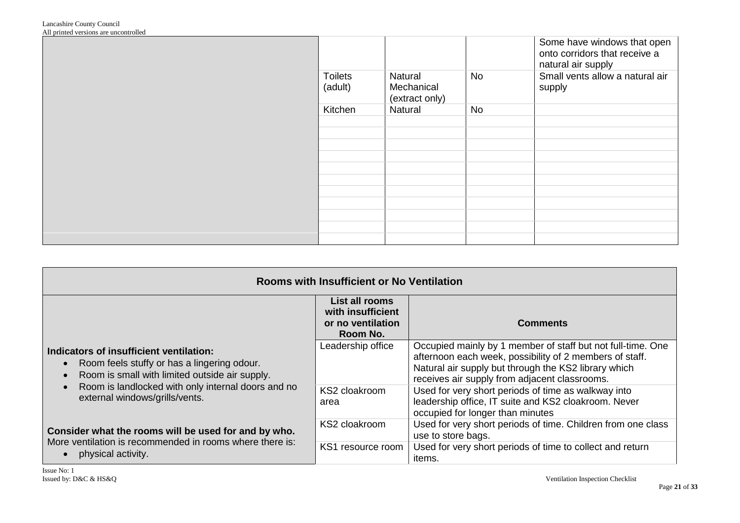|                           |                                         |           | Some have windows that open<br>onto corridors that receive a<br>natural air supply |
|---------------------------|-----------------------------------------|-----------|------------------------------------------------------------------------------------|
| <b>Toilets</b><br>(adult) | Natural<br>Mechanical<br>(extract only) | <b>No</b> | Small vents allow a natural air<br>supply                                          |
| Kitchen                   | Natural                                 | <b>No</b> |                                                                                    |
|                           |                                         |           |                                                                                    |
|                           |                                         |           |                                                                                    |
|                           |                                         |           |                                                                                    |
|                           |                                         |           |                                                                                    |
|                           |                                         |           |                                                                                    |
|                           |                                         |           |                                                                                    |
|                           |                                         |           |                                                                                    |
|                           |                                         |           |                                                                                    |
|                           |                                         |           |                                                                                    |
|                           |                                         |           |                                                                                    |
|                           |                                         |           |                                                                                    |

| Rooms with Insufficient or No Ventilation                                                                                                                                                                                                                               |                                                                      |                                                                                                                                                                                                                                 |  |
|-------------------------------------------------------------------------------------------------------------------------------------------------------------------------------------------------------------------------------------------------------------------------|----------------------------------------------------------------------|---------------------------------------------------------------------------------------------------------------------------------------------------------------------------------------------------------------------------------|--|
|                                                                                                                                                                                                                                                                         | List all rooms<br>with insufficient<br>or no ventilation<br>Room No. | <b>Comments</b>                                                                                                                                                                                                                 |  |
| Indicators of insufficient ventilation:<br>Room feels stuffy or has a lingering odour.<br>$\bullet$<br>Room is small with limited outside air supply.<br>$\bullet$<br>Room is landlocked with only internal doors and no<br>$\bullet$<br>external windows/grills/vents. | Leadership office                                                    | Occupied mainly by 1 member of staff but not full-time. One<br>afternoon each week, possibility of 2 members of staff.<br>Natural air supply but through the KS2 library which<br>receives air supply from adjacent classrooms. |  |
|                                                                                                                                                                                                                                                                         | KS2 cloakroom<br>area                                                | Used for very short periods of time as walkway into<br>leadership office, IT suite and KS2 cloakroom. Never<br>occupied for longer than minutes                                                                                 |  |
| Consider what the rooms will be used for and by who.<br>More ventilation is recommended in rooms where there is:<br>physical activity.<br>$\bullet$                                                                                                                     | KS2 cloakroom                                                        | Used for very short periods of time. Children from one class<br>use to store bags.                                                                                                                                              |  |
|                                                                                                                                                                                                                                                                         | KS1 resource room                                                    | Used for very short periods of time to collect and return<br>items.                                                                                                                                                             |  |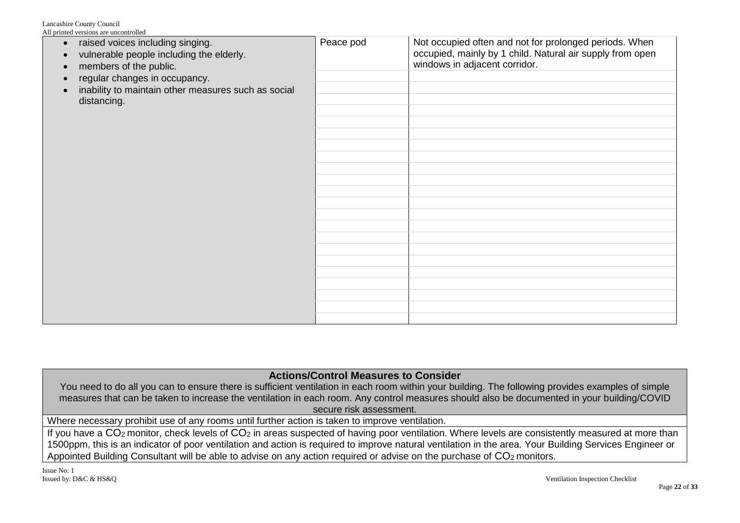| a printed versions are uncontrolled<br>raised voices including singing.<br>$\bullet$<br>vulnerable people including the elderly.<br>members of the public. | Peace pod | Not occupied often and not for prolonged periods. When<br>occupied, mainly by 1 child. Natural air supply from open<br>windows in adjacent corridor. |
|------------------------------------------------------------------------------------------------------------------------------------------------------------|-----------|------------------------------------------------------------------------------------------------------------------------------------------------------|
| regular changes in occupancy.                                                                                                                              |           |                                                                                                                                                      |
| inability to maintain other measures such as social                                                                                                        |           |                                                                                                                                                      |
| distancing.                                                                                                                                                |           |                                                                                                                                                      |
|                                                                                                                                                            |           |                                                                                                                                                      |
|                                                                                                                                                            |           |                                                                                                                                                      |
|                                                                                                                                                            |           |                                                                                                                                                      |
|                                                                                                                                                            |           |                                                                                                                                                      |
|                                                                                                                                                            |           |                                                                                                                                                      |
|                                                                                                                                                            |           |                                                                                                                                                      |
|                                                                                                                                                            |           |                                                                                                                                                      |
|                                                                                                                                                            |           |                                                                                                                                                      |
|                                                                                                                                                            |           |                                                                                                                                                      |
|                                                                                                                                                            |           |                                                                                                                                                      |
|                                                                                                                                                            |           |                                                                                                                                                      |
|                                                                                                                                                            |           |                                                                                                                                                      |
|                                                                                                                                                            |           |                                                                                                                                                      |
|                                                                                                                                                            |           |                                                                                                                                                      |
|                                                                                                                                                            |           |                                                                                                                                                      |
|                                                                                                                                                            |           |                                                                                                                                                      |
|                                                                                                                                                            |           |                                                                                                                                                      |
|                                                                                                                                                            |           |                                                                                                                                                      |
|                                                                                                                                                            |           |                                                                                                                                                      |

### **Actions/Control Measures to Consider**

You need to do all you can to ensure there is sufficient ventilation in each room within your building. The following provides examples of simple measures that can be taken to increase the ventilation in each room. Any control measures should also be documented in your building/COVID secure risk assessment.

Where necessary prohibit use of any rooms until further action is taken to improve ventilation.

If you have a CO<sub>2</sub> monitor, check levels of CO<sub>2</sub> in areas suspected of having poor ventilation. Where levels are consistently measured at more than 1500ppm, this is an indicator of poor ventilation and action is required to improve natural ventilation in the area. Your Building Services Engineer or Appointed Building Consultant will be able to advise on any action required or advise on the purchase of CO<sub>2</sub> monitors.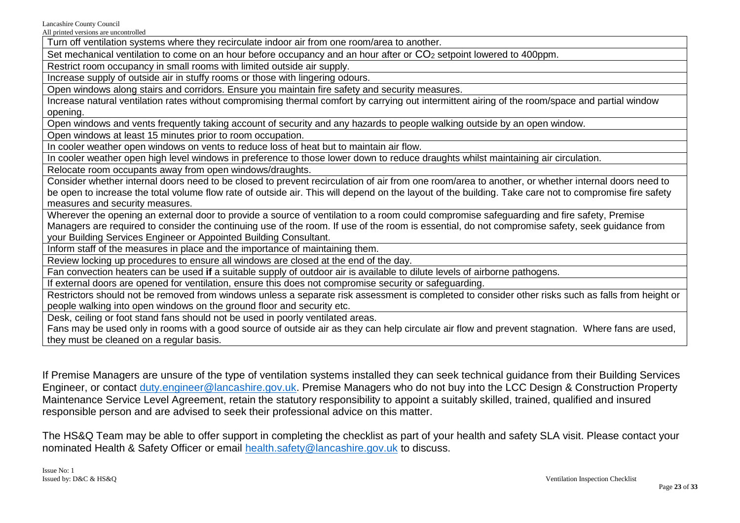Turn off ventilation systems where they recirculate indoor air from one room/area to another.

Set mechanical ventilation to come on an hour before occupancy and an hour after or CO<sub>2</sub> setpoint lowered to 400ppm.

Restrict room occupancy in small rooms with limited outside air supply.

Increase supply of outside air in stuffy rooms or those with lingering odours.

Open windows along stairs and corridors. Ensure you maintain fire safety and security measures.

Increase natural ventilation rates without compromising thermal comfort by carrying out intermittent airing of the room/space and partial window opening.

Open windows and vents frequently taking account of security and any hazards to people walking outside by an open window.

Open windows at least 15 minutes prior to room occupation.

In cooler weather open windows on vents to reduce loss of heat but to maintain air flow.

In cooler weather open high level windows in preference to those lower down to reduce draughts whilst maintaining air circulation.

Relocate room occupants away from open windows/draughts.

Consider whether internal doors need to be closed to prevent recirculation of air from one room/area to another, or whether internal doors need to be open to increase the total volume flow rate of outside air. This will depend on the layout of the building. Take care not to compromise fire safety measures and security measures.

Wherever the opening an external door to provide a source of ventilation to a room could compromise safeguarding and fire safety, Premise Managers are required to consider the continuing use of the room. If use of the room is essential, do not compromise safety, seek guidance from your Building Services Engineer or Appointed Building Consultant.

Inform staff of the measures in place and the importance of maintaining them.

Review locking up procedures to ensure all windows are closed at the end of the day.

Fan convection heaters can be used **if** a suitable supply of outdoor air is available to dilute levels of airborne pathogens.

If external doors are opened for ventilation, ensure this does not compromise security or safeguarding.

Restrictors should not be removed from windows unless a separate risk assessment is completed to consider other risks such as falls from height or people walking into open windows on the ground floor and security etc.

Desk, ceiling or foot stand fans should not be used in poorly ventilated areas.

Fans may be used only in rooms with a good source of outside air as they can help circulate air flow and prevent stagnation. Where fans are used, they must be cleaned on a regular basis.

If Premise Managers are unsure of the type of ventilation systems installed they can seek technical guidance from their Building Services Engineer, or contact [duty.engineer@lancashire.gov.uk.](mailto:duty.engineer@lancashire.gov.uk) Premise Managers who do not buy into the LCC Design & Construction Property Maintenance Service Level Agreement, retain the statutory responsibility to appoint a suitably skilled, trained, qualified and insured responsible person and are advised to seek their professional advice on this matter.

The HS&Q Team may be able to offer support in completing the checklist as part of your health and safety SLA visit. Please contact your nominated Health & Safety Officer or email [health.safety@lancashire.gov.uk](mailto:health.safety@lancashire.gov.uk) to discuss.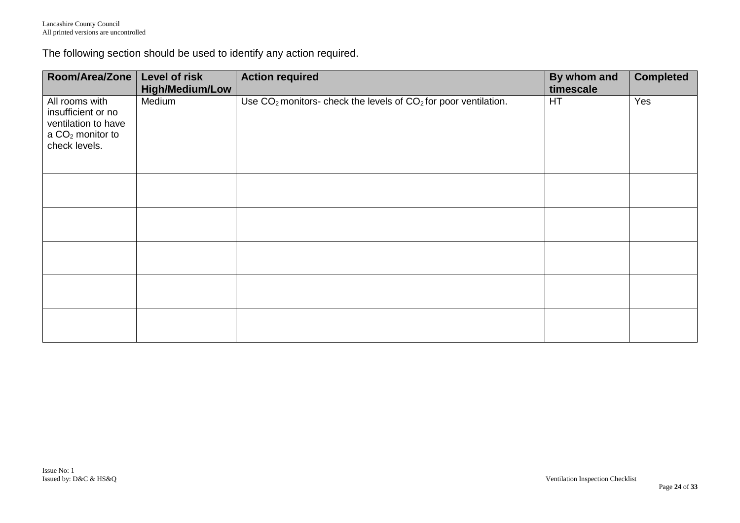The following section should be used to identify any action required.

| Room/Area/Zone                                                                                     | Level of risk<br><b>High/Medium/Low</b> | <b>Action required</b>                                                                  | By whom and<br>timescale | <b>Completed</b> |
|----------------------------------------------------------------------------------------------------|-----------------------------------------|-----------------------------------------------------------------------------------------|--------------------------|------------------|
| All rooms with<br>insufficient or no<br>ventilation to have<br>a $CO2$ monitor to<br>check levels. | Medium                                  | Use CO <sub>2</sub> monitors- check the levels of CO <sub>2</sub> for poor ventilation. | HT                       | Yes              |
|                                                                                                    |                                         |                                                                                         |                          |                  |
|                                                                                                    |                                         |                                                                                         |                          |                  |
|                                                                                                    |                                         |                                                                                         |                          |                  |
|                                                                                                    |                                         |                                                                                         |                          |                  |
|                                                                                                    |                                         |                                                                                         |                          |                  |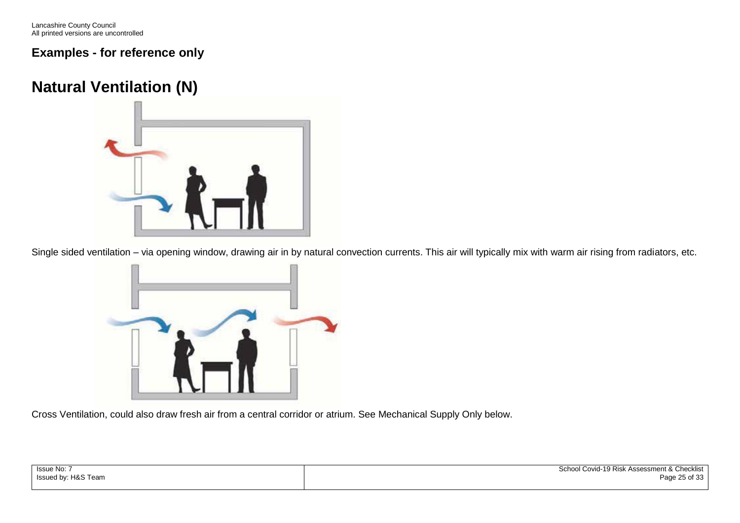## **Examples - for reference only**

# **Natural Ventilation (N)**



Single sided ventilation – via opening window, drawing air in by natural convection currents. This air will typically mix with warm air rising from radiators, etc.



Cross Ventilation, could also draw fresh air from a central corridor or atrium. See Mechanical Supply Only below.

| Issue No: 7         | School Covid-19 Risk Assessment & Checklist |
|---------------------|---------------------------------------------|
| Issued by: H&S Team | Page 25 of 33                               |
|                     |                                             |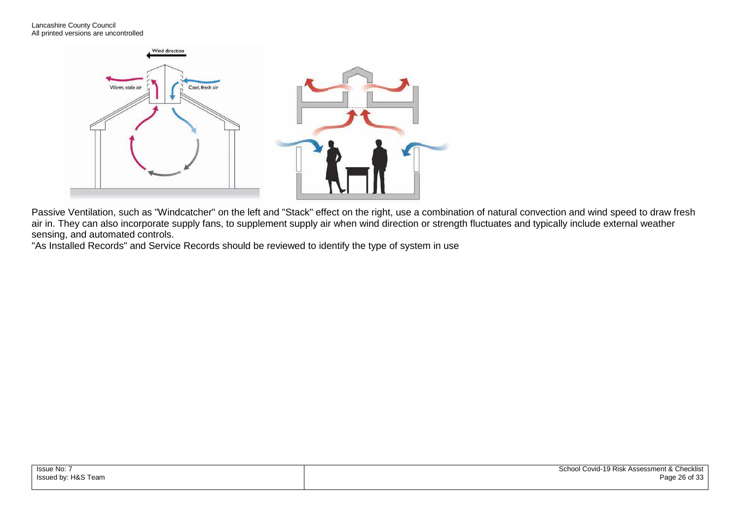Lancashire County Council All printed versions are uncontrolled



Passive Ventilation, such as "Windcatcher" on the left and "Stack" effect on the right, use a combination of natural convection and wind speed to draw fresh air in. They can also incorporate supply fans, to supplement supply air when wind direction or strength fluctuates and typically include external weather sensing, and automated controls.

"As Installed Records" and Service Records should be reviewed to identify the type of system in use

| Issue No: .         | اد Covid-19 Risk Assessment & Checklist<br>School ( |
|---------------------|-----------------------------------------------------|
| Issued by: H&S Team | Page 26 of 33                                       |
|                     |                                                     |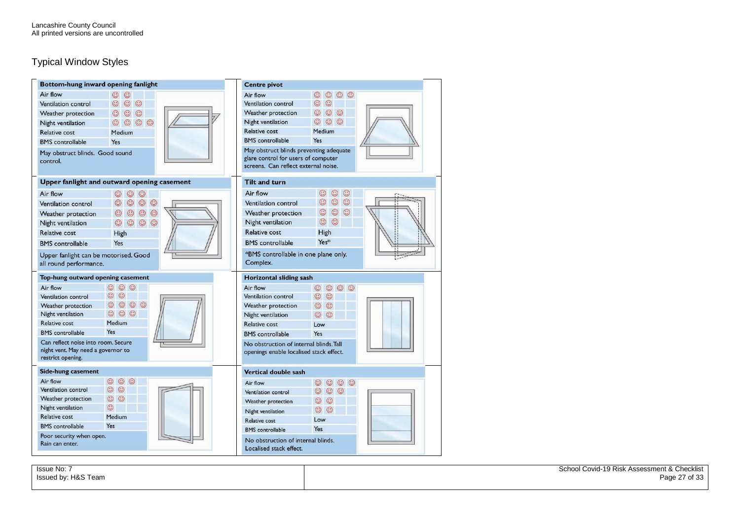## Typical Window Styles

Issue No: 7

Issued by: H&S Team

| <b>Bottom-hung inward opening fanlight</b>                                                                                                                                                                                                                                                                                                                                           | <b>Centre pivot</b>                                                                                                                                                                                                                                                                                                                                                                                   |
|--------------------------------------------------------------------------------------------------------------------------------------------------------------------------------------------------------------------------------------------------------------------------------------------------------------------------------------------------------------------------------------|-------------------------------------------------------------------------------------------------------------------------------------------------------------------------------------------------------------------------------------------------------------------------------------------------------------------------------------------------------------------------------------------------------|
| Air flow<br>$\odot$<br>$_{\odot}$<br>$\odot$<br>$\odot$<br>Ventilation control<br>$\odot$<br>$\odot$<br>$\odot$ $\odot$<br>Weather protection<br>$\odot$ $\odot$<br>$\odot$ $\odot$<br>Night ventilation<br>Medium<br><b>Relative cost</b><br><b>BMS</b> controllable<br>Yes<br>May obstruct blinds. Good sound<br>control.                                                          | Air flow<br>$\circledcirc$ $\circledcirc$<br>$\odot$<br>$\odot$<br>Ventilation control<br>$\odot$<br>$\circledcirc$<br>$\odot$<br>Weather protection<br>$\odot$ $\odot$<br>$\odot$<br>Night ventilation<br><b>Relative cost</b><br>Medium<br>Yes<br><b>BMS</b> controllable<br>May obstruct blinds preventing adequate<br>glare control for users of computer<br>screens. Can reflect external noise. |
| Upper fanlight and outward opening casement                                                                                                                                                                                                                                                                                                                                          | <b>Tilt and turn</b>                                                                                                                                                                                                                                                                                                                                                                                  |
| Air flow<br>$\odot$<br>$\odot$<br>$\odot$<br>$\odot$<br>$\odot$<br>$\odot$<br>$_{\odot}$<br>Ventilation control<br>$\odot$<br>$\odot$<br>$\odot$<br>$\odot$<br>Weather protection<br>$\odot$ $\odot$<br>$\odot$<br>$\odot$<br>Night ventilation<br><b>Relative cost</b><br>High<br>Yes<br><b>BMS</b> controllable<br>Upper fanlight can be motorised. Good<br>all round performance. | Air flow<br>$_{\odot}$<br>$\odot$<br>$\odot$<br>$\odot$<br>$\odot$<br>$\odot$<br>Ventilation control<br>$\odot$<br>$\odot$<br>$\odot$<br>Weather protection<br>$\odot$<br>$\odot$<br>Night ventilation<br><b>Relative cost</b><br>High<br>Yes*<br><b>BMS</b> controllable<br>*BMS controllable in one plane only.<br>Complex.                                                                         |
| Top-hung outward opening casement                                                                                                                                                                                                                                                                                                                                                    | <b>Horizontal sliding sash</b>                                                                                                                                                                                                                                                                                                                                                                        |
| $\odot$ $\odot$ $\odot$<br>Air flow<br>$\odot$<br>$_{\odot}$<br>Ventilation control<br>O O O<br>$\odot$<br>Weather protection<br>$\circledcirc$<br>Night ventilation<br>Medium<br><b>Relative cost</b><br>Yes<br><b>BMS</b> controllable<br>Can reflect noise into room. Secure<br>night vent. May need a governor to<br>restrict opening.                                           | Air flow<br>$\odot$<br>$\odot$ $\odot$<br>$\odot$<br>Ventilation control<br>$\odot$<br>$\odot$<br>$\odot$<br>Weather protection<br>$\odot$<br>$\odot$<br>Night ventilation<br>$\odot$<br><b>Relative cost</b><br>Low<br>Yes<br><b>BMS</b> controllable<br>No obstruction of internal blinds. Tall<br>openings enable localised stack effect.                                                          |
| <b>Side-hung casement</b>                                                                                                                                                                                                                                                                                                                                                            | <b>Vertical double sash</b>                                                                                                                                                                                                                                                                                                                                                                           |
| Air flow<br>$\circledcirc$<br>$\odot$<br>$\odot$<br>Ventilation control<br>$\odot$<br>$\odot$<br>$\odot$<br>Weather protection<br>$\odot$<br>Night ventilation<br>Relative cost<br>Medium<br>Yes<br><b>BMS</b> controllable<br>Poor security when open.                                                                                                                              | $\circledcirc \circledcirc \circ$<br>Air flow<br>$\circledcirc$<br>$\odot$<br>Ventilation control<br>$\odot$<br>$\odot$<br>Weather protection<br>$\odot$<br>$\odot$<br>Night ventilation<br>Low<br><b>Relative cost</b><br>Yes<br><b>BMS</b> controllable                                                                                                                                             |
| Rain can enter.                                                                                                                                                                                                                                                                                                                                                                      | No obstruction of internal blinds.<br>Localised stack effect.                                                                                                                                                                                                                                                                                                                                         |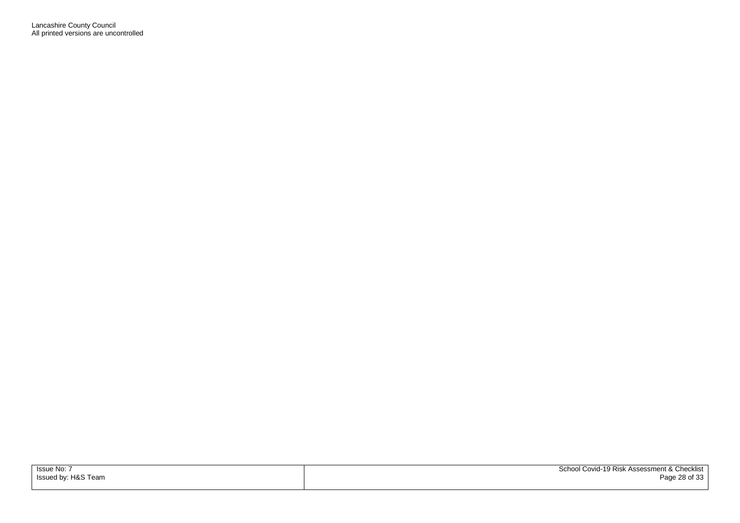| Issue No: 7         | School Covid-19 Risk Assessment & Checklist |
|---------------------|---------------------------------------------|
| Issued by: H&S Team | Page 28 of 33                               |
|                     |                                             |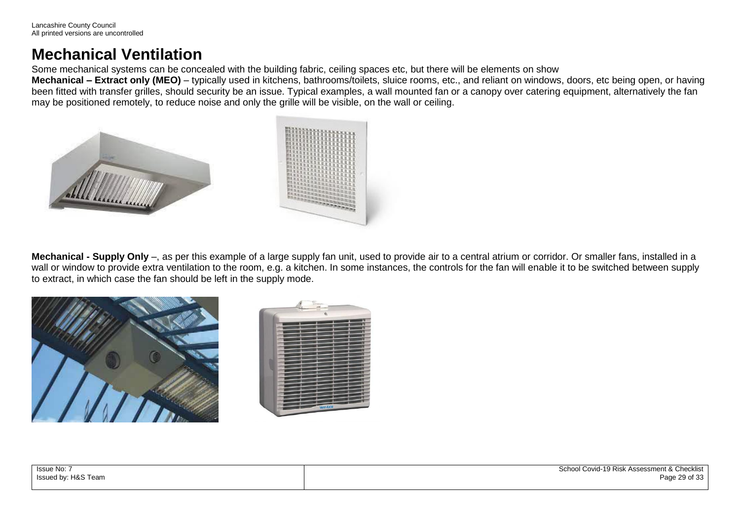## **Mechanical Ventilation**

Some mechanical systems can be concealed with the building fabric, ceiling spaces etc, but there will be elements on show

**Mechanical – Extract only (MEO)** – typically used in kitchens, bathrooms/toilets, sluice rooms, etc., and reliant on windows, doors, etc being open, or having been fitted with transfer grilles, should security be an issue. Typical examples, a wall mounted fan or a canopy over catering equipment, alternatively the fan may be positioned remotely, to reduce noise and only the grille will be visible, on the wall or ceiling.



**Mechanical - Supply Only** –, as per this example of a large supply fan unit, used to provide air to a central atrium or corridor. Or smaller fans, installed in a wall or window to provide extra ventilation to the room, e.g. a kitchen. In some instances, the controls for the fan will enable it to be switched between supply to extract, in which case the fan should be left in the supply mode.





| Issue No: $i$       | School Covid-19 Risk Assessment & Checklist |
|---------------------|---------------------------------------------|
| Issued by: H&S Team | Page 29 of 33                               |
|                     |                                             |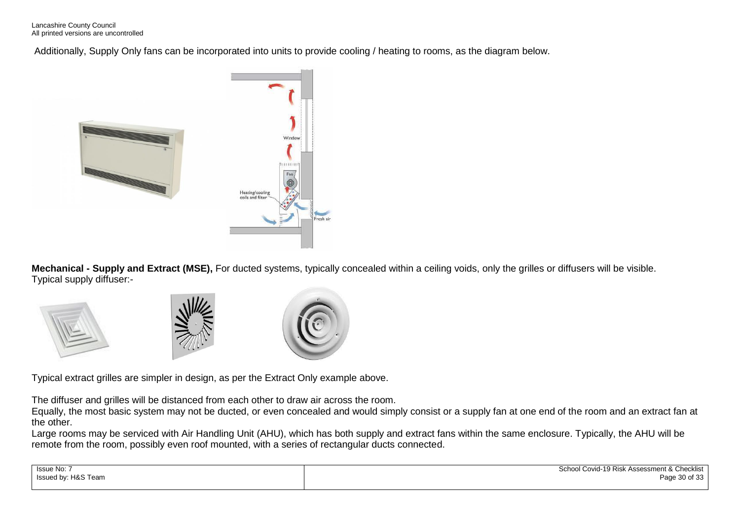Additionally, Supply Only fans can be incorporated into units to provide cooling / heating to rooms, as the diagram below.



**Mechanical - Supply and Extract (MSE),** For ducted systems, typically concealed within a ceiling voids, only the grilles or diffusers will be visible. Typical supply diffuser:-







Typical extract grilles are simpler in design, as per the Extract Only example above.

The diffuser and grilles will be distanced from each other to draw air across the room.

Equally, the most basic system may not be ducted, or even concealed and would simply consist or a supply fan at one end of the room and an extract fan at the other.

Large rooms may be serviced with Air Handling Unit (AHU), which has both supply and extract fans within the same enclosure. Typically, the AHU will be remote from the room, possibly even roof mounted, with a series of rectangular ducts connected.

| <b>Issue No:</b>         | Checklis ،<br>. Covid-19 Risk<br>School<br>เ Assessment & |
|--------------------------|-----------------------------------------------------------|
| Issued by: H&S T<br>Team | 30 of 33<br>Page                                          |
|                          |                                                           |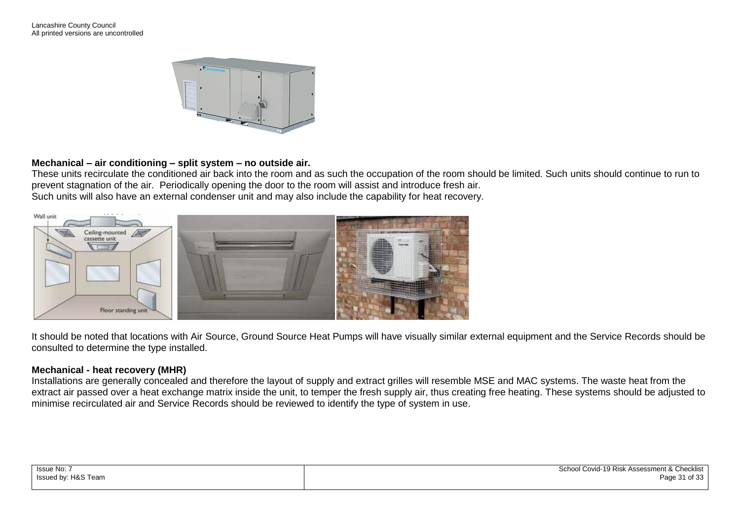

#### **Mechanical – air conditioning – split system – no outside air.**

These units recirculate the conditioned air back into the room and as such the occupation of the room should be limited. Such units should continue to run to prevent stagnation of the air. Periodically opening the door to the room will assist and introduce fresh air. Such units will also have an external condenser unit and may also include the capability for heat recovery.



It should be noted that locations with Air Source, Ground Source Heat Pumps will have visually similar external equipment and the Service Records should be consulted to determine the type installed.

#### **Mechanical - heat recovery (MHR)**

Installations are generally concealed and therefore the layout of supply and extract grilles will resemble MSE and MAC systems. The waste heat from the extract air passed over a heat exchange matrix inside the unit, to temper the fresh supply air, thus creating free heating. These systems should be adjusted to minimise recirculated air and Service Records should be reviewed to identify the type of system in use.

| Issue No: ,         | School Covid-19 Risk Assessment & Checklist |
|---------------------|---------------------------------------------|
| Issued by: H&S Team | Page 31 of 33                               |
|                     |                                             |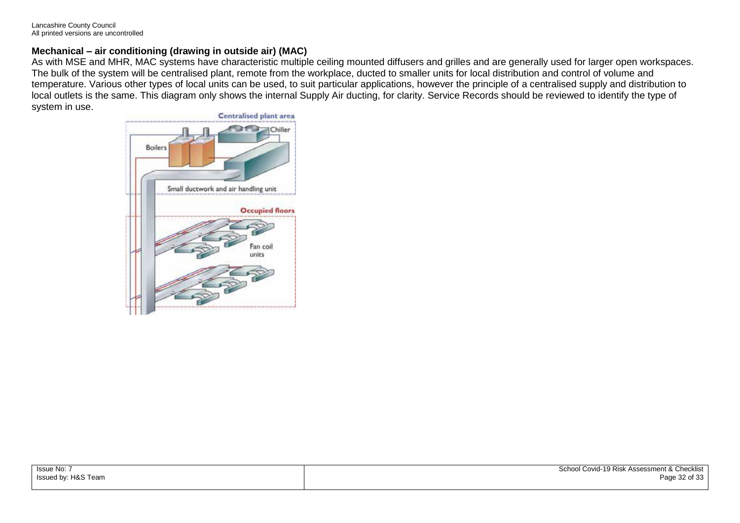### **Mechanical – air conditioning (drawing in outside air) (MAC)**

As with MSE and MHR, MAC systems have characteristic multiple ceiling mounted diffusers and grilles and are generally used for larger open workspaces. The bulk of the system will be centralised plant, remote from the workplace, ducted to smaller units for local distribution and control of volume and temperature. Various other types of local units can be used, to suit particular applications, however the principle of a centralised supply and distribution to local outlets is the same. This diagram only shows the internal Supply Air ducting, for clarity. Service Records should be reviewed to identify the type of system in use.



| Issue No:           | School Covid-19 Risk Assessment & Checklist |
|---------------------|---------------------------------------------|
| Issued by: H&S Team | Page 32 of 33                               |
|                     |                                             |